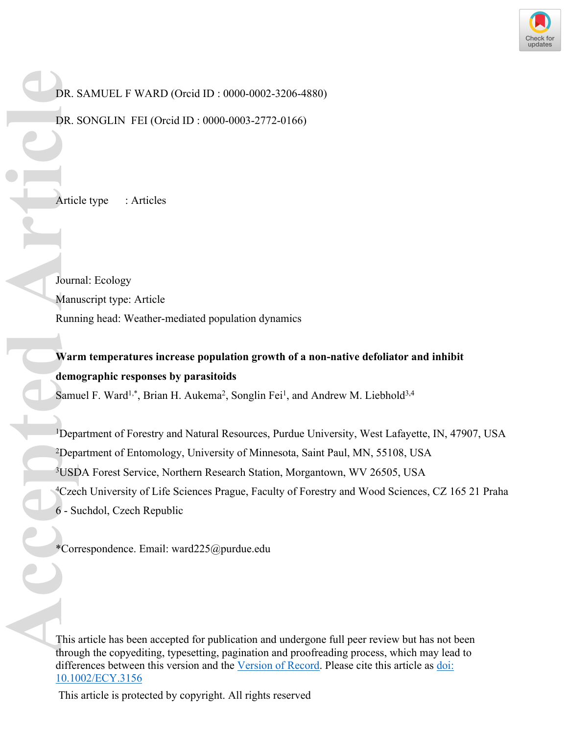

DR. SAMUEL F WARD (Orcid ID : 0000-0002-3206-4880)

DR. SONGLIN FEI (Orcid ID : 0000-0003-2772-0166)

Article type : Articles

Journal: Ecology Manuscript type: Article Running head: Weather-mediated population dynamics

**Warm temperatures increase population growth of a non-native defoliator and inhibit demographic responses by parasitoids**

Samuel F. Ward<sup>1,\*</sup>, Brian H. Aukema<sup>2</sup>, Songlin Fei<sup>1</sup>, and Andrew M. Liebhold<sup>3,4</sup>

Department of Forestry and Natural Resources, Purdue University, West Lafayette, IN, 47907, USA Department of Entomology, University of Minnesota, Saint Paul, MN, 55108, USA USDA Forest Service, Northern Research Station, Morgantown, WV 26505, USA Czech University of Life Sciences Prague, Faculty of Forestry and Wood Sciences, CZ 165 21 Praha 6 - Suchdol, Czech Republic **Accepted Article**

\*Correspondence. Email: ward225@purdue.edu

This article has been accepted for publication and undergone full peer review but has not been through the copyediting, typesetting, pagination and proofreading process, which may lead to differences between this version and the [Version of Record.](https://doi.org/10.1002/ECY.3156) Please cite this article as [doi:](https://doi.org/10.1002/ECY.3156)  [10.1002/ECY.3156](https://doi.org/10.1002/ECY.3156)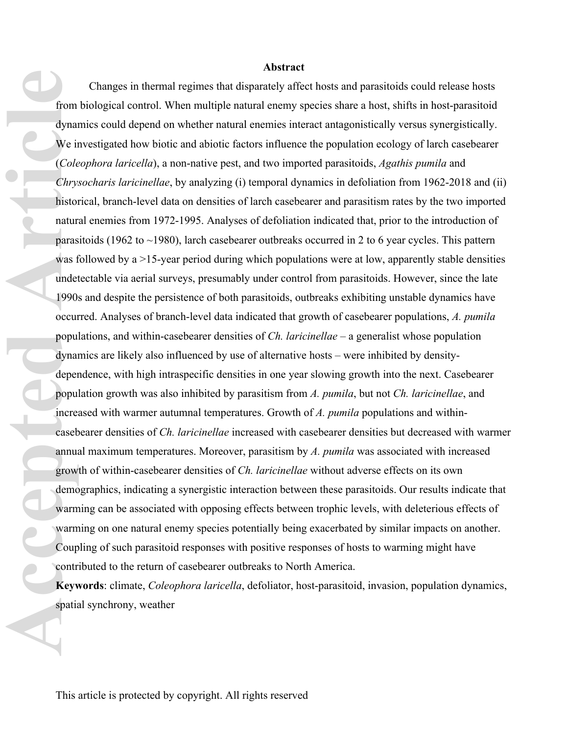#### **Abstract**

Changes in thermal regimes that disparately affect hosts and parasitoids could release hosts from biological control. When multiple natural enemy species share a host, shifts in host-parasitoid dynamics could depend on whether natural enemies interact antagonistically versus synergistically. We investigated how biotic and abiotic factors influence the population ecology of larch casebearer (*Coleophora laricella*), a non-native pest, and two imported parasitoids, *Agathis pumila* and *Chrysocharis laricinellae*, by analyzing (i) temporal dynamics in defoliation from 1962-2018 and (ii) historical, branch-level data on densities of larch casebearer and parasitism rates by the two imported natural enemies from 1972-1995. Analyses of defoliation indicated that, prior to the introduction of parasitoids (1962 to  $\sim$ 1980), larch casebearer outbreaks occurred in 2 to 6 year cycles. This pattern was followed by a >15-year period during which populations were at low, apparently stable densities undetectable via aerial surveys, presumably under control from parasitoids. However, since the late 1990s and despite the persistence of both parasitoids, outbreaks exhibiting unstable dynamics have occurred. Analyses of branch-level data indicated that growth of casebearer populations, *A. pumila*  populations, and within-casebearer densities of *Ch. laricinellae* – a generalist whose population dynamics are likely also influenced by use of alternative hosts – were inhibited by densitydependence, with high intraspecific densities in one year slowing growth into the next. Casebearer population growth was also inhibited by parasitism from *A. pumila*, but not *Ch. laricinellae*, and increased with warmer autumnal temperatures. Growth of *A. pumila* populations and withincasebearer densities of *Ch. laricinellae* increased with casebearer densities but decreased with warmer annual maximum temperatures. Moreover, parasitism by *A. pumila* was associated with increased growth of within-casebearer densities of *Ch. laricinellae* without adverse effects on its own demographics, indicating a synergistic interaction between these parasitoids. Our results indicate that warming can be associated with opposing effects between trophic levels, with deleterious effects of warming on one natural enemy species potentially being exacerbated by similar impacts on another. Coupling of such parasitoid responses with positive responses of hosts to warming might have contributed to the return of casebearer outbreaks to North America. **Accession**<br> **Accession**<br> **Accession**<br> **Accession**<br> **Accession**<br> **Accession**<br> **Accession**<br> **Accession**<br> **Accession**<br> **Accession**<br> **Accession**<br> **Accession**<br> **Accession**<br> **Accession**<br> **Accession**<br> **Accession**<br> **Accession**<br>

**Keywords**: climate, *Coleophora laricella*, defoliator, host-parasitoid, invasion, population dynamics, spatial synchrony, weather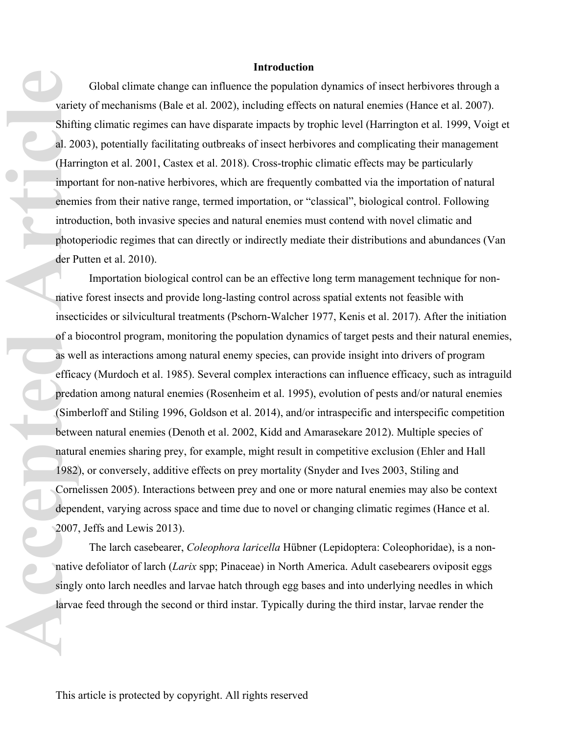# **Introduction**

Global climate change can influence the population dynamics of insect herbivores through a variety of mechanisms (Bale et al. 2002), including effects on natural enemies (Hance et al. 2007). Shifting climatic regimes can have disparate impacts by trophic level (Harrington et al. 1999, Voigt et al. 2003), potentially facilitating outbreaks of insect herbivores and complicating their management (Harrington et al. 2001, Castex et al. 2018). Cross-trophic climatic effects may be particularly important for non-native herbivores, which are frequently combatted via the importation of natural enemies from their native range, termed importation, or "classical", biological control. Following introduction, both invasive species and natural enemies must contend with novel climatic and photoperiodic regimes that can directly or indirectly mediate their distributions and abundances (Van der Putten et al. 2010).

Importation biological control can be an effective long term management technique for nonnative forest insects and provide long-lasting control across spatial extents not feasible with insecticides or silvicultural treatments (Pschorn-Walcher 1977, Kenis et al. 2017). After the initiation of a biocontrol program, monitoring the population dynamics of target pests and their natural enemies, as well as interactions among natural enemy species, can provide insight into drivers of program efficacy (Murdoch et al. 1985). Several complex interactions can influence efficacy, such as intraguild predation among natural enemies (Rosenheim et al. 1995), evolution of pests and/or natural enemies (Simberloff and Stiling 1996, Goldson et al. 2014), and/or intraspecific and interspecific competition between natural enemies (Denoth et al. 2002, Kidd and Amarasekare 2012). Multiple species of natural enemies sharing prey, for example, might result in competitive exclusion (Ehler and Hall 1982), or conversely, additive effects on prey mortality (Snyder and Ives 2003, Stiling and Cornelissen 2005). Interactions between prey and one or more natural enemies may also be context dependent, varying across space and time due to novel or changing climatic regimes (Hance et al. 2007, Jeffs and Lewis 2013). **Access Track Contract Contract Contract Contract Contract Contract Contract Contract Contract Contract Contract Contract Contract Contract Contract Contract Contract Contract Contract Contract Contract Contract Contract C** 

The larch casebearer, *Coleophora laricella* Hübner (Lepidoptera: Coleophoridae), is a nonnative defoliator of larch (*Larix* spp; Pinaceae) in North America. Adult casebearers oviposit eggs singly onto larch needles and larvae hatch through egg bases and into underlying needles in which larvae feed through the second or third instar. Typically during the third instar, larvae render the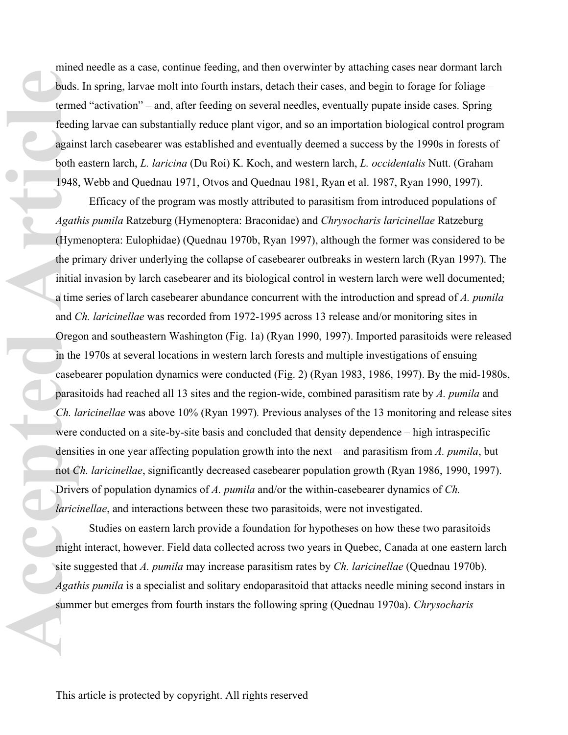mined needle as a case, continue feeding, and then overwinter by attaching cases near dormant larch buds. In spring, larvae molt into fourth instars, detach their cases, and begin to forage for foliage – termed "activation" – and, after feeding on several needles, eventually pupate inside cases. Spring feeding larvae can substantially reduce plant vigor, and so an importation biological control program against larch casebearer was established and eventually deemed a success by the 1990s in forests of both eastern larch, *L. laricina* (Du Roi) K. Koch, and western larch, *L. occidentalis* Nutt. (Graham 1948, Webb and Quednau 1971, Otvos and Quednau 1981, Ryan et al. 1987, Ryan 1990, 1997).

Efficacy of the program was mostly attributed to parasitism from introduced populations of *Agathis pumila* Ratzeburg (Hymenoptera: Braconidae) and *Chrysocharis laricinellae* Ratzeburg (Hymenoptera: Eulophidae) (Quednau 1970b, Ryan 1997), although the former was considered to be the primary driver underlying the collapse of casebearer outbreaks in western larch (Ryan 1997). The initial invasion by larch casebearer and its biological control in western larch were well documented; a time series of larch casebearer abundance concurrent with the introduction and spread of *A. pumila* and *Ch. laricinellae* was recorded from 1972-1995 across 13 release and/or monitoring sites in Oregon and southeastern Washington (Fig. 1a) (Ryan 1990, 1997). Imported parasitoids were released in the 1970s at several locations in western larch forests and multiple investigations of ensuing casebearer population dynamics were conducted (Fig. 2) (Ryan 1983, 1986, 1997). By the mid-1980s, parasitoids had reached all 13 sites and the region-wide, combined parasitism rate by *A. pumila* and *Ch. laricinellae* was above 10% (Ryan 1997)*.* Previous analyses of the 13 monitoring and release sites were conducted on a site-by-site basis and concluded that density dependence – high intraspecific densities in one year affecting population growth into the next – and parasitism from *A. pumila*, but not *Ch. laricinellae*, significantly decreased casebearer population growth (Ryan 1986, 1990, 1997). Drivers of population dynamics of *A. pumila* and/or the within-casebearer dynamics of *Ch. laricinellae*, and interactions between these two parasitoids, were not investigated. buds.<br>
terme<br>
feedii<br>
again<br>
both<br>
1948.<br>
1948.<br>
1948.<br>
Agath<br>
(Hynr the pi<br>
initia<br>
a time pinitia<br>
a time pinitia<br>
a time pinitia<br>
a time dorege<br>
in the caseb<br>
paras<br>
Ch. *le*<br>
were<br>
densi<br>
not C<br>
Drive<br>
larici<br>
migh<br>
si

Studies on eastern larch provide a foundation for hypotheses on how these two parasitoids might interact, however. Field data collected across two years in Quebec, Canada at one eastern larch site suggested that *A. pumila* may increase parasitism rates by *Ch. laricinellae* (Quednau 1970b). *Agathis pumila* is a specialist and solitary endoparasitoid that attacks needle mining second instars in summer but emerges from fourth instars the following spring (Quednau 1970a). *Chrysocharis*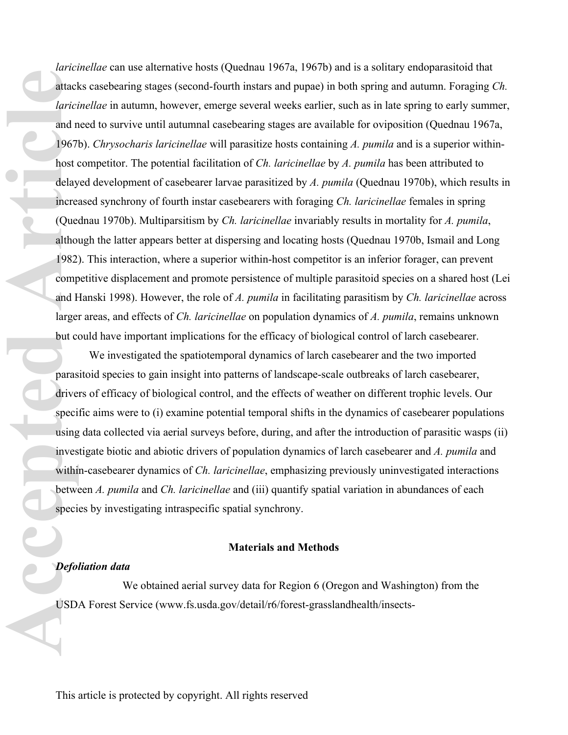*laricinellae* can use alternative hosts (Quednau 1967a, 1967b) and is a solitary endoparasitoid that attacks casebearing stages (second-fourth instars and pupae) in both spring and autumn. Foraging *Ch. laricinellae* in autumn, however, emerge several weeks earlier, such as in late spring to early summer, and need to survive until autumnal casebearing stages are available for oviposition (Quednau 1967a, 1967b). *Chrysocharis laricinellae* will parasitize hosts containing *A. pumila* and is a superior withinhost competitor. The potential facilitation of *Ch. laricinellae* by *A. pumila* has been attributed to delayed development of casebearer larvae parasitized by *A. pumila* (Quednau 1970b), which results in increased synchrony of fourth instar casebearers with foraging *Ch. laricinellae* females in spring (Quednau 1970b). Multiparsitism by *Ch. laricinellae* invariably results in mortality for *A. pumila*, although the latter appears better at dispersing and locating hosts (Quednau 1970b, Ismail and Long 1982). This interaction, where a superior within-host competitor is an inferior forager, can prevent competitive displacement and promote persistence of multiple parasitoid species on a shared host (Lei and Hanski 1998). However, the role of *A. pumila* in facilitating parasitism by *Ch. laricinellae* across larger areas, and effects of *Ch. laricinellae* on population dynamics of *A. pumila*, remains unknown but could have important implications for the efficacy of biological control of larch casebearer. attacl<br>
larici<br>
and n<br>
1967<br>
host delay<br>
incre:<br>
(Que<br>
altho<br>
1982<br>
comp<br>
and H<br>
larger<br>
but cc<br>
paras<br>
drive<br>
speci<br>
using<br>
inves<br>
withi<br>
between<br>
speci<br>
using<br>
paras<br>
between<br>
yith<br>
paras<br>
drive<br>
speci<br>
using<br>
paras<br>
<br>
<br>

We investigated the spatiotemporal dynamics of larch casebearer and the two imported parasitoid species to gain insight into patterns of landscape-scale outbreaks of larch casebearer, drivers of efficacy of biological control, and the effects of weather on different trophic levels. Our specific aims were to (i) examine potential temporal shifts in the dynamics of casebearer populations using data collected via aerial surveys before, during, and after the introduction of parasitic wasps (ii) investigate biotic and abiotic drivers of population dynamics of larch casebearer and *A. pumila* and within-casebearer dynamics of *Ch. laricinellae*, emphasizing previously uninvestigated interactions between *A. pumila* and *Ch. laricinellae* and (iii) quantify spatial variation in abundances of each species by investigating intraspecific spatial synchrony.

#### **Materials and Methods**

#### *Defoliation data*

We obtained aerial survey data for Region 6 (Oregon and Washington) from the USDA Forest Service (www.fs.usda.gov/detail/r6/forest-grasslandhealth/insects-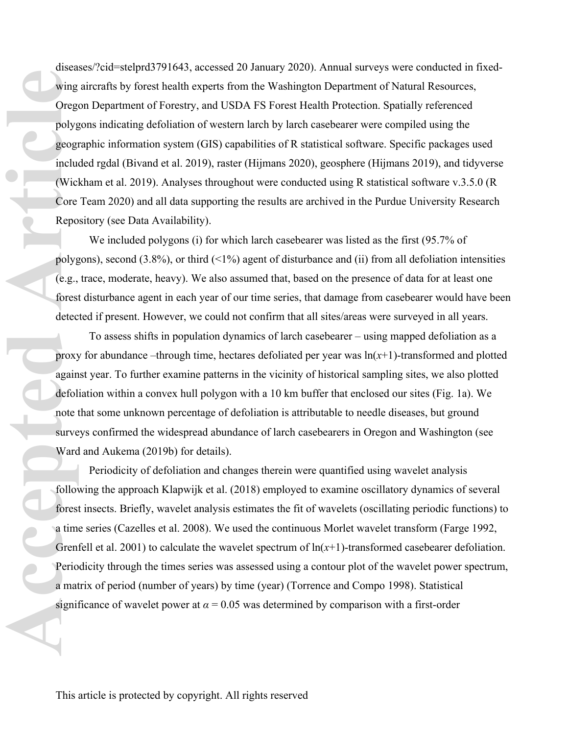diseases/?cid=stelprd3791643, accessed 20 January 2020). Annual surveys were conducted in fixedwing aircrafts by forest health experts from the Washington Department of Natural Resources, Oregon Department of Forestry, and USDA FS Forest Health Protection. Spatially referenced polygons indicating defoliation of western larch by larch casebearer were compiled using the geographic information system (GIS) capabilities of R statistical software. Specific packages used included rgdal (Bivand et al. 2019), raster (Hijmans 2020), geosphere (Hijmans 2019), and tidyverse (Wickham et al. 2019). Analyses throughout were conducted using R statistical software v.3.5.0 (R Core Team 2020) and all data supporting the results are archived in the Purdue University Research Repository (see Data Availability). **Accession 1999**<br>
Article<br>
Article<br>
Core<br>
Repo<br>
Polyg<br>
(e.g., forest<br>
detec<br>
Proxy again<br>
defol<br>
note 1<br>
surve<br>
Ward<br>
follow<br>
forest<br>
a time Greno<br>
Proxy again<br>
defol<br>
note 1<br>
surve<br>
Ward<br>
follow<br>
forest<br>
a time Greno<br>
a m

We included polygons (i) for which larch casebearer was listed as the first (95.7% of polygons), second  $(3.8\%)$ , or third  $\left(\frac{<1\%}{*l*}\right)$  agent of disturbance and (ii) from all defoliation intensities (e.g., trace, moderate, heavy). We also assumed that, based on the presence of data for at least one forest disturbance agent in each year of our time series, that damage from casebearer would have been detected if present. However, we could not confirm that all sites/areas were surveyed in all years.

To assess shifts in population dynamics of larch casebearer – using mapped defoliation as a proxy for abundance –through time, hectares defoliated per year was  $ln(x+1)$ -transformed and plotted against year. To further examine patterns in the vicinity of historical sampling sites, we also plotted defoliation within a convex hull polygon with a 10 km buffer that enclosed our sites (Fig. 1a). We note that some unknown percentage of defoliation is attributable to needle diseases, but ground surveys confirmed the widespread abundance of larch casebearers in Oregon and Washington (see Ward and Aukema (2019b) for details).

Periodicity of defoliation and changes therein were quantified using wavelet analysis following the approach Klapwijk et al. (2018) employed to examine oscillatory dynamics of several forest insects. Briefly, wavelet analysis estimates the fit of wavelets (oscillating periodic functions) to a time series (Cazelles et al. 2008). We used the continuous Morlet wavelet transform (Farge 1992, Grenfell et al. 2001) to calculate the wavelet spectrum of  $ln(x+1)$ -transformed casebearer defoliation. Periodicity through the times series was assessed using a contour plot of the wavelet power spectrum, a matrix of period (number of years) by time (year) (Torrence and Compo 1998). Statistical significance of wavelet power at  $\alpha$  = 0.05 was determined by comparison with a first-order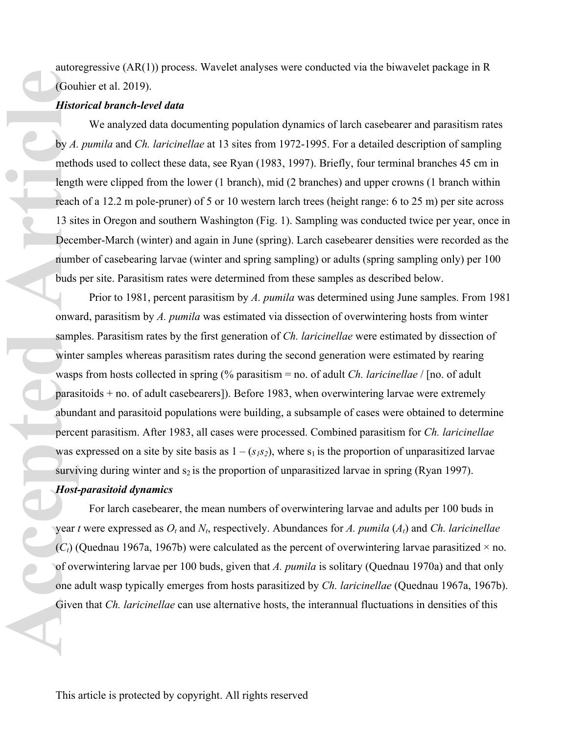autoregressive (AR(1)) process. Wavelet analyses were conducted via the biwavelet package in R (Gouhier et al. 2019).

## *Historical branch-level data*

We analyzed data documenting population dynamics of larch casebearer and parasitism rates by *A. pumila* and *Ch. laricinellae* at 13 sites from 1972-1995. For a detailed description of sampling methods used to collect these data, see Ryan (1983, 1997). Briefly, four terminal branches 45 cm in length were clipped from the lower (1 branch), mid (2 branches) and upper crowns (1 branch within reach of a 12.2 m pole-pruner) of 5 or 10 western larch trees (height range: 6 to 25 m) per site across 13 sites in Oregon and southern Washington (Fig. 1). Sampling was conducted twice per year, once in December-March (winter) and again in June (spring). Larch casebearer densities were recorded as the number of casebearing larvae (winter and spring sampling) or adults (spring sampling only) per 100 buds per site. Parasitism rates were determined from these samples as described below.

Prior to 1981, percent parasitism by *A. pumila* was determined using June samples. From 1981 onward, parasitism by *A. pumila* was estimated via dissection of overwintering hosts from winter samples. Parasitism rates by the first generation of *Ch. laricinellae* were estimated by dissection of winter samples whereas parasitism rates during the second generation were estimated by rearing wasps from hosts collected in spring (% parasitism = no. of adult *Ch. laricinellae* / [no. of adult parasitoids + no. of adult casebearers]). Before 1983, when overwintering larvae were extremely abundant and parasitoid populations were building, a subsample of cases were obtained to determine percent parasitism. After 1983, all cases were processed. Combined parasitism for *Ch. laricinellae*  was expressed on a site by site basis as  $1 - (s_1 s_2)$ , where  $s_1$  is the proportion of unparasitized larvae surviving during winter and  $s_2$  is the proportion of unparasitized larvae in spring (Ryan 1997). **Access 13**<br> **Access 13**<br> **Access 13**<br> **Access 13**<br> **Access 13**<br> **Access 13**<br> **Access 13**<br> **Access 13**<br> **Access 13**<br> **Access 14**<br> **Access 14**<br> **Access 14**<br> **Access 14**<br> **Access 14**<br> **Access 14**<br> **Access 14**<br> **Access 14**<br>

# *Host-parasitoid dynamics*

For larch casebearer, the mean numbers of overwintering larvae and adults per 100 buds in year *t* were expressed as  $O_t$  and  $N_t$ , respectively. Abundances for *A. pumila*  $(A_t)$  and *Ch. laricinellae*  $(C_t)$  (Quednau 1967a, 1967b) were calculated as the percent of overwintering larvae parasitized  $\times$  no. of overwintering larvae per 100 buds, given that *A. pumila* is solitary (Quednau 1970a) and that only one adult wasp typically emerges from hosts parasitized by *Ch. laricinellae* (Quednau 1967a, 1967b). Given that *Ch. laricinellae* can use alternative hosts, the interannual fluctuations in densities of this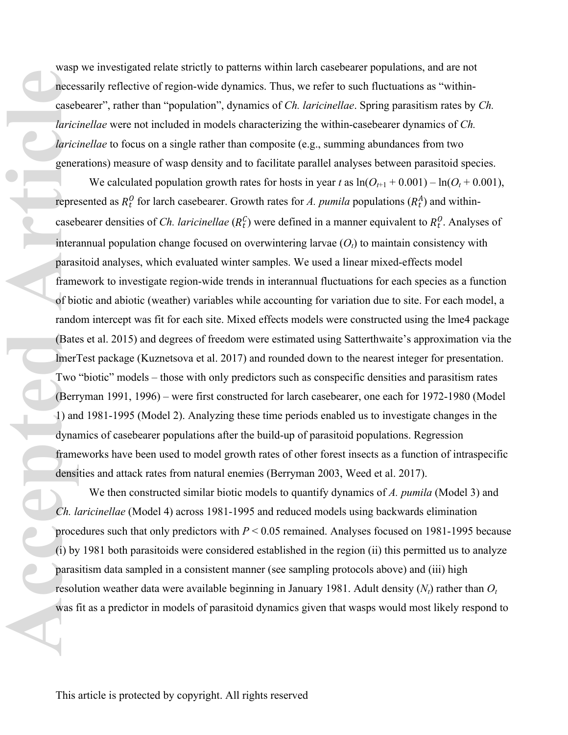wasp we investigated relate strictly to patterns within larch casebearer populations, and are not necessarily reflective of region-wide dynamics. Thus, we refer to such fluctuations as "withincasebearer", rather than "population", dynamics of *Ch. laricinellae*. Spring parasitism rates by *Ch. laricinellae* were not included in models characterizing the within-casebearer dynamics of *Ch. laricinellae* to focus on a single rather than composite (e.g., summing abundances from two generations) measure of wasp density and to facilitate parallel analyses between parasitoid species.

We calculated population growth rates for hosts in year *t* as  $ln(O_{t+1} + 0.001) - ln(O_t + 0.001)$ , represented as  $R_t^0$  for larch casebearer. Growth rates for A. pumila populations  $(R_t^A)$  and withincasebearer densities of *Ch. laricinellae*  $(R_t^C)$  were defined in a manner equivalent to  $R_t^O$ . Analyses of interannual population change focused on overwintering larvae (*Ot*) to maintain consistency with parasitoid analyses, which evaluated winter samples. We used a linear mixed-effects model framework to investigate region-wide trends in interannual fluctuations for each species as a function of biotic and abiotic (weather) variables while accounting for variation due to site. For each model, a random intercept was fit for each site. Mixed effects models were constructed using the lme4 package (Bates et al. 2015) and degrees of freedom were estimated using Satterthwaite's approximation via the lmerTest package (Kuznetsova et al. 2017) and rounded down to the nearest integer for presentation. Two "biotic" models – those with only predictors such as conspecific densities and parasitism rates (Berryman 1991, 1996) – were first constructed for larch casebearer, one each for 1972-1980 (Model 1) and 1981-1995 (Model 2). Analyzing these time periods enabled us to investigate changes in the dynamics of casebearer populations after the build-up of parasitoid populations. Regression frameworks have been used to model growth rates of other forest insects as a function of intraspecific densities and attack rates from natural enemies (Berryman 2003, Weed et al. 2017). Frame<br>
Recessors<br>
Contained Article<br>
Article<br>
Larticle<br>
Supplement<br>
The Case interactions<br>
The Case interactions<br>
The Case interactions<br>
Case Interactions<br>
Case Interactions<br>
Ch. *La* proce<br>
(i) by paras<br>
resolu<br>
was f

We then constructed similar biotic models to quantify dynamics of *A. pumila* (Model 3) and *Ch. laricinellae* (Model 4) across 1981-1995 and reduced models using backwards elimination procedures such that only predictors with *P* < 0.05 remained. Analyses focused on 1981-1995 because (i) by 1981 both parasitoids were considered established in the region (ii) this permitted us to analyze parasitism data sampled in a consistent manner (see sampling protocols above) and (iii) high resolution weather data were available beginning in January 1981. Adult density (*Nt*) rather than *O<sup>t</sup>* was fit as a predictor in models of parasitoid dynamics given that wasps would most likely respond to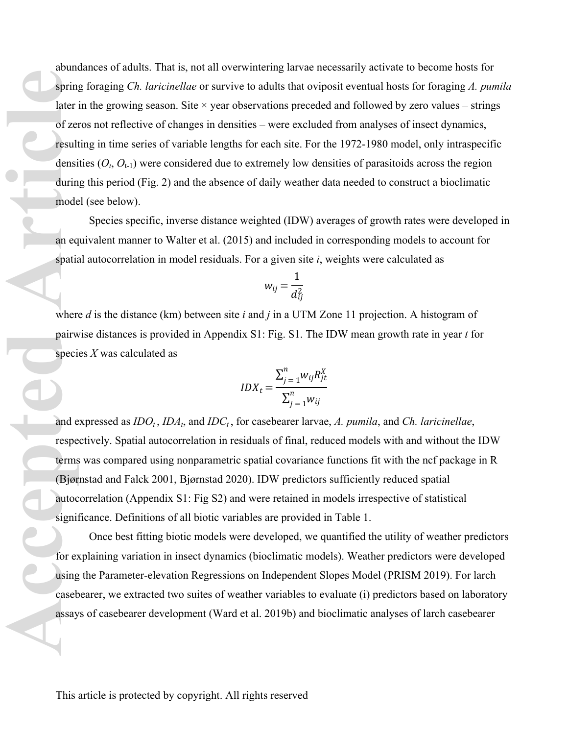abundances of adults. That is, not all overwintering larvae necessarily activate to become hosts for spring foraging *Ch. laricinellae* or survive to adults that oviposit eventual hosts for foraging *A. pumila*  later in the growing season. Site  $\times$  year observations preceded and followed by zero values – strings of zeros not reflective of changes in densities – were excluded from analyses of insect dynamics, resulting in time series of variable lengths for each site. For the 1972-1980 model, only intraspecific densities  $(O_t, O_{t-1})$  were considered due to extremely low densities of parasitoids across the region during this period (Fig. 2) and the absence of daily weather data needed to construct a bioclimatic model (see below). **Accession**<br> **Accessing the Contract of Zee**<br> **Accessing during mode**<br> **Accessing the Article Space is the Contract of Article Space is an equal of the Contract of Article Space is also<br>
And e Tespe terms<br>
(Bjør autoc sign** 

Species specific, inverse distance weighted (IDW) averages of growth rates were developed in an equivalent manner to Walter et al. (2015) and included in corresponding models to account for spatial autocorrelation in model residuals. For a given site *i*, weights were calculated as

$$
w_{ij}=\frac{1}{d_{ij}^2}
$$

where *d* is the distance (km) between site *i* and *j* in a UTM Zone 11 projection. A histogram of pairwise distances is provided in Appendix S1: Fig. S1. The IDW mean growth rate in year *t* for species *X* was calculated as

$$
IDX_t = \frac{\sum_{j=1}^n w_{ij} R_{jt}^X}{\sum_{j=1}^n w_{ij}}
$$

and expressed as *IDO<sup>t</sup>* , *IDA<sup>t</sup>* , and *IDCt* , for casebearer larvae, *A. pumila*, and *Ch. laricinellae*, respectively. Spatial autocorrelation in residuals of final, reduced models with and without the IDW terms was compared using nonparametric spatial covariance functions fit with the ncf package in R (Bjørnstad and Falck 2001, Bjørnstad 2020). IDW predictors sufficiently reduced spatial autocorrelation (Appendix S1: Fig S2) and were retained in models irrespective of statistical significance. Definitions of all biotic variables are provided in Table 1.

Once best fitting biotic models were developed, we quantified the utility of weather predictors for explaining variation in insect dynamics (bioclimatic models). Weather predictors were developed using the Parameter-elevation Regressions on Independent Slopes Model (PRISM 2019). For larch casebearer, we extracted two suites of weather variables to evaluate (i) predictors based on laboratory assays of casebearer development (Ward et al. 2019b) and bioclimatic analyses of larch casebearer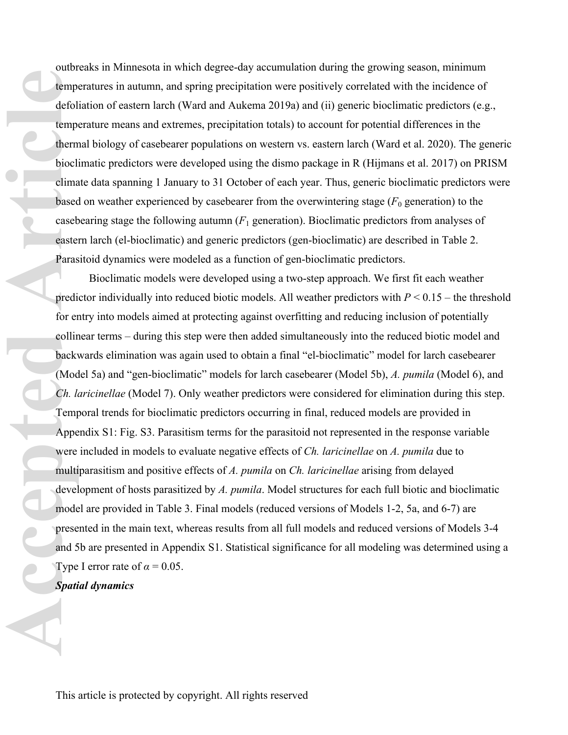outbreaks in Minnesota in which degree-day accumulation during the growing season, minimum temperatures in autumn, and spring precipitation were positively correlated with the incidence of defoliation of eastern larch (Ward and Aukema 2019a) and (ii) generic bioclimatic predictors (e.g., temperature means and extremes, precipitation totals) to account for potential differences in the thermal biology of casebearer populations on western vs. eastern larch (Ward et al. 2020). The generic bioclimatic predictors were developed using the dismo package in R (Hijmans et al. 2017) on PRISM climate data spanning 1 January to 31 October of each year. Thus, generic bioclimatic predictors were based on weather experienced by casebearer from the overwintering stage  $(F_0)$  generation) to the casebearing stage the following autumn (*F*1 generation). Bioclimatic predictors from analyses of eastern larch (el-bioclimatic) and generic predictors (gen-bioclimatic) are described in Table 2. Parasitoid dynamics were modeled as a function of gen-bioclimatic predictors.

Bioclimatic models were developed using a two-step approach. We first fit each weather predictor individually into reduced biotic models. All weather predictors with *P* < 0.15 – the threshold for entry into models aimed at protecting against overfitting and reducing inclusion of potentially collinear terms – during this step were then added simultaneously into the reduced biotic model and backwards elimination was again used to obtain a final "el-bioclimatic" model for larch casebearer (Model 5a) and "gen-bioclimatic" models for larch casebearer (Model 5b), *A. pumila* (Model 6), and *Ch. laricinellae* (Model 7). Only weather predictors were considered for elimination during this step. Temporal trends for bioclimatic predictors occurring in final, reduced models are provided in Appendix S1: Fig. S3. Parasitism terms for the parasitoid not represented in the response variable were included in models to evaluate negative effects of *Ch. laricinellae* on *A. pumila* due to multiparasitism and positive effects of *A. pumila* on *Ch. laricinellae* arising from delayed development of hosts parasitized by *A. pumila*. Model structures for each full biotic and bioclimatic model are provided in Table 3. Final models (reduced versions of Models 1-2, 5a, and 6-7) are presented in the main text, whereas results from all full models and reduced versions of Models 3-4 and 5b are presented in Appendix S1. Statistical significance for all modeling was determined using a Type I error rate of  $\alpha = 0.05$ . **Accession**<br> **Accession**<br> **Accession**<br> **Accession**<br> **Accession**<br> **Accession**<br> **Accession**<br> **Accession**<br> **Accession**<br> **Accession**<br> **Accession**<br> **Accession**<br> **Accession**<br> **Accession**<br> **Accession**<br> **Accession**<br> **Accession**<br>

# *Spatial dynamics*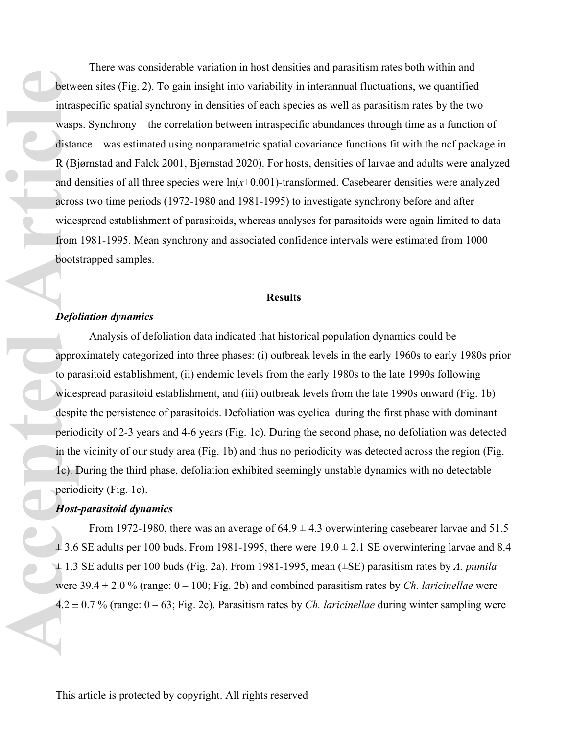There was considerable variation in host densities and parasitism rates both within and between sites (Fig. 2). To gain insight into variability in interannual fluctuations, we quantified intraspecific spatial synchrony in densities of each species as well as parasitism rates by the two wasps. Synchrony – the correlation between intraspecific abundances through time as a function of distance – was estimated using nonparametric spatial covariance functions fit with the ncf package in R (Bjørnstad and Falck 2001, Bjørnstad 2020). For hosts, densities of larvae and adults were analyzed and densities of all three species were  $ln(x+0.001)$ -transformed. Casebearer densities were analyzed across two time periods (1972-1980 and 1981-1995) to investigate synchrony before and after widespread establishment of parasitoids, whereas analyses for parasitoids were again limited to data from 1981-1995. Mean synchrony and associated confidence intervals were estimated from 1000 bootstrapped samples. **Exercise 1.3**<br> **Accepted Articles**<br> **Accepted Articles**<br> **Accepted Articles**<br> **Accepted**<br> **Accepted**<br> **Accepted Articles**<br> **Accepted Articles**<br> **Accepted Articles**<br> **Accepted Articles**<br> **Accepted Articles**<br> **Accepted Arti** 

## **Results**

## *Defoliation dynamics*

Analysis of defoliation data indicated that historical population dynamics could be approximately categorized into three phases: (i) outbreak levels in the early 1960s to early 1980s prior to parasitoid establishment, (ii) endemic levels from the early 1980s to the late 1990s following widespread parasitoid establishment, and (iii) outbreak levels from the late 1990s onward (Fig. 1b) despite the persistence of parasitoids. Defoliation was cyclical during the first phase with dominant periodicity of 2-3 years and 4-6 years (Fig. 1c). During the second phase, no defoliation was detected in the vicinity of our study area (Fig. 1b) and thus no periodicity was detected across the region (Fig. 1c). During the third phase, defoliation exhibited seemingly unstable dynamics with no detectable periodicity (Fig. 1c).

## *Host-parasitoid dynamics*

From 1972-1980, there was an average of  $64.9 \pm 4.3$  overwintering casebearer larvae and 51.5  $\pm$  3.6 SE adults per 100 buds. From 1981-1995, there were 19.0  $\pm$  2.1 SE overwintering larvae and 8.4 ± 1.3 SE adults per 100 buds (Fig. 2a). From 1981-1995, mean (±SE) parasitism rates by *A. pumila*  were 39.4 ± 2.0 % (range: 0 – 100; Fig. 2b) and combined parasitism rates by *Ch. laricinellae* were 4.2 ± 0.7 % (range: 0 – 63; Fig. 2c). Parasitism rates by *Ch. laricinellae* during winter sampling were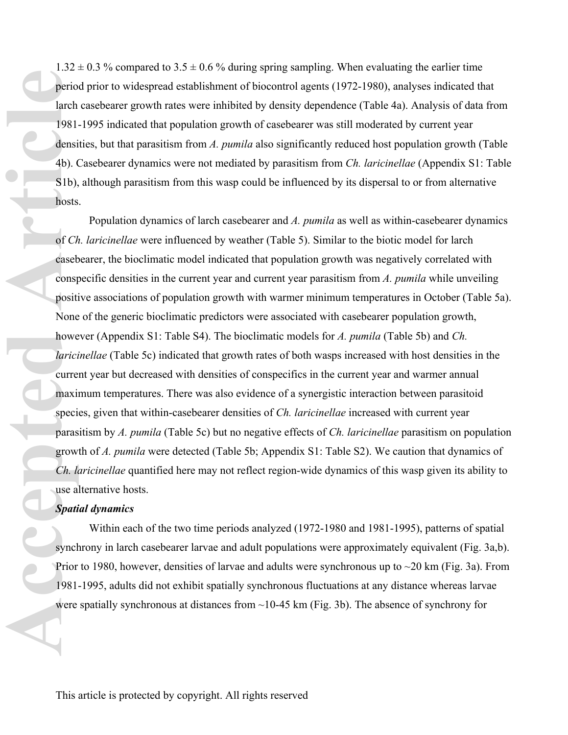$1.32 \pm 0.3$  % compared to  $3.5 \pm 0.6$  % during spring sampling. When evaluating the earlier time period prior to widespread establishment of biocontrol agents (1972-1980), analyses indicated that larch casebearer growth rates were inhibited by density dependence (Table 4a). Analysis of data from 1981-1995 indicated that population growth of casebearer was still moderated by current year densities, but that parasitism from *A. pumila* also significantly reduced host population growth (Table 4b). Casebearer dynamics were not mediated by parasitism from *Ch. laricinellae* (Appendix S1: Table S1b), although parasitism from this wasp could be influenced by its dispersal to or from alternative hosts.

Population dynamics of larch casebearer and *A. pumila* as well as within-casebearer dynamics of *Ch. laricinellae* were influenced by weather (Table 5). Similar to the biotic model for larch casebearer, the bioclimatic model indicated that population growth was negatively correlated with conspecific densities in the current year and current year parasitism from *A. pumila* while unveiling positive associations of population growth with warmer minimum temperatures in October (Table 5a). None of the generic bioclimatic predictors were associated with casebearer population growth, however (Appendix S1: Table S4). The bioclimatic models for *A. pumila* (Table 5b) and *Ch. laricinellae* (Table 5c) indicated that growth rates of both wasps increased with host densities in the current year but decreased with densities of conspecifics in the current year and warmer annual maximum temperatures. There was also evidence of a synergistic interaction between parasitoid species, given that within-casebearer densities of *Ch. laricinellae* increased with current year parasitism by *A. pumila* (Table 5c) but no negative effects of *Ch. laricinellae* parasitism on population growth of *A. pumila* were detected (Table 5b; Appendix S1: Table S2). We caution that dynamics of *Ch. laricinellae* quantified here may not reflect region-wide dynamics of this wasp given its ability to use alternative hosts. perio<br>
larch<br>
1981<br>
densi<br>
4b). (<br>
S1b),<br>
hosts<br>
of *Ck*<br>
caseb<br>
conspositi<br>
None<br>
hosts<br>
positi<br>
None<br>
howe<br>
larici<br>
curre<br>
maximised<br>
speci<br>
paras<br>
grow<br> *Ch. la*<br>
use a<br> *Spati*<br>
speci<br>
Prior<br>
Prior<br>
Prior<br>
Prior<br>
Prior

#### *Spatial dynamics*

Within each of the two time periods analyzed (1972-1980 and 1981-1995), patterns of spatial synchrony in larch casebearer larvae and adult populations were approximately equivalent (Fig. 3a,b). Prior to 1980, however, densities of larvae and adults were synchronous up to ~20 km (Fig. 3a). From 1981-1995, adults did not exhibit spatially synchronous fluctuations at any distance whereas larvae were spatially synchronous at distances from  $\sim$ 10-45 km (Fig. 3b). The absence of synchrony for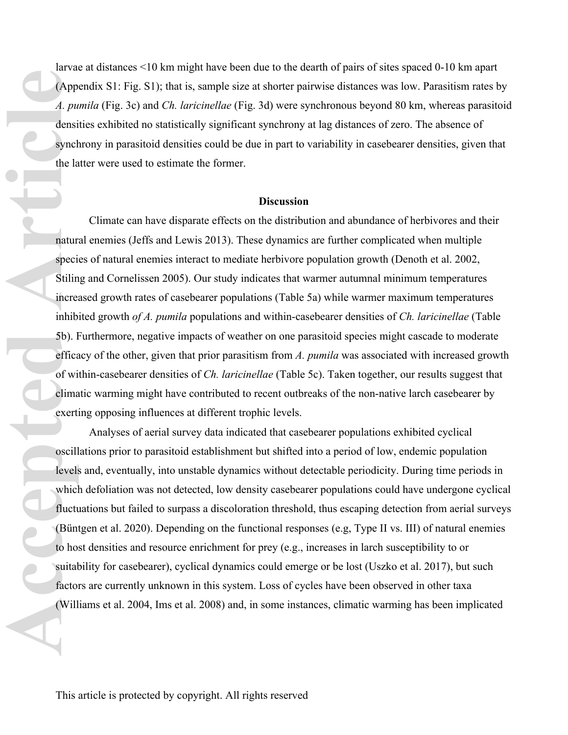larvae at distances <10 km might have been due to the dearth of pairs of sites spaced 0-10 km apart (Appendix S1: Fig. S1); that is, sample size at shorter pairwise distances was low. Parasitism rates by *A. pumila* (Fig. 3c) and *Ch. laricinellae* (Fig. 3d) were synchronous beyond 80 km, whereas parasitoid densities exhibited no statistically significant synchrony at lag distances of zero. The absence of synchrony in parasitoid densities could be due in part to variability in casebearer densities, given that the latter were used to estimate the former.

## **Discussion**

Climate can have disparate effects on the distribution and abundance of herbivores and their natural enemies (Jeffs and Lewis 2013). These dynamics are further complicated when multiple species of natural enemies interact to mediate herbivore population growth (Denoth et al. 2002, Stiling and Cornelissen 2005). Our study indicates that warmer autumnal minimum temperatures increased growth rates of casebearer populations (Table 5a) while warmer maximum temperatures inhibited growth *of A. pumila* populations and within-casebearer densities of *Ch. laricinellae* (Table 5b). Furthermore, negative impacts of weather on one parasitoid species might cascade to moderate efficacy of the other, given that prior parasitism from *A. pumila* was associated with increased growth of within-casebearer densities of *Ch. laricinellae* (Table 5c). Taken together, our results suggest that climatic warming might have contributed to recent outbreaks of the non-native larch casebearer by exerting opposing influences at different trophic levels. **Example A. pu**<br> **A. pu**<br> **A. pu**<br> **Constant density synchric in the la<br>
matur specifical of will increase in this 5b). If effice<br>
of will climate exert oscill<br>
levels which flucture (Büning to ho, suital factor)<br>
(Will fl** 

Analyses of aerial survey data indicated that casebearer populations exhibited cyclical oscillations prior to parasitoid establishment but shifted into a period of low, endemic population levels and, eventually, into unstable dynamics without detectable periodicity. During time periods in which defoliation was not detected, low density casebearer populations could have undergone cyclical fluctuations but failed to surpass a discoloration threshold, thus escaping detection from aerial surveys (Büntgen et al. 2020). Depending on the functional responses (e.g, Type II vs. III) of natural enemies to host densities and resource enrichment for prey (e.g., increases in larch susceptibility to or suitability for casebearer), cyclical dynamics could emerge or be lost (Uszko et al. 2017), but such factors are currently unknown in this system. Loss of cycles have been observed in other taxa (Williams et al. 2004, Ims et al. 2008) and, in some instances, climatic warming has been implicated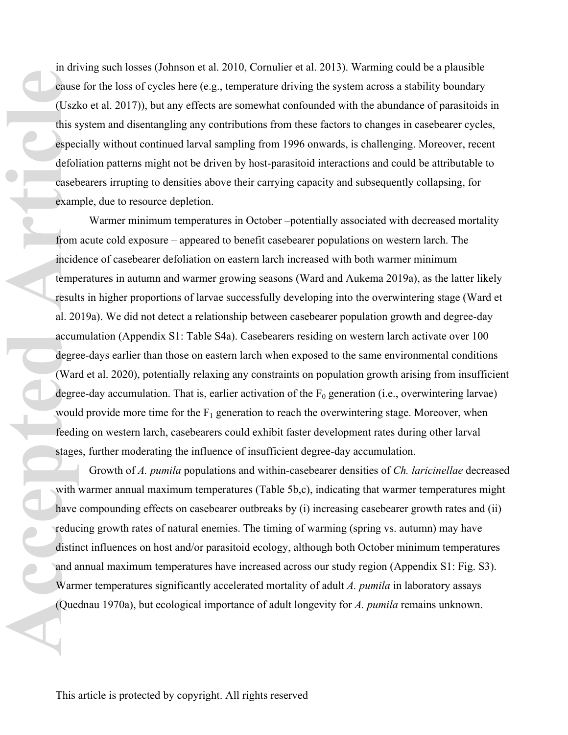in driving such losses (Johnson et al. 2010, Cornulier et al. 2013). Warming could be a plausible cause for the loss of cycles here (e.g., temperature driving the system across a stability boundary (Uszko et al. 2017)), but any effects are somewhat confounded with the abundance of parasitoids in this system and disentangling any contributions from these factors to changes in casebearer cycles, especially without continued larval sampling from 1996 onwards, is challenging. Moreover, recent defoliation patterns might not be driven by host-parasitoid interactions and could be attributable to casebearers irrupting to densities above their carrying capacity and subsequently collapsing, for example, due to resource depletion.

Warmer minimum temperatures in October –potentially associated with decreased mortality from acute cold exposure – appeared to benefit casebearer populations on western larch. The incidence of casebearer defoliation on eastern larch increased with both warmer minimum temperatures in autumn and warmer growing seasons (Ward and Aukema 2019a), as the latter likely results in higher proportions of larvae successfully developing into the overwintering stage (Ward et al. 2019a). We did not detect a relationship between casebearer population growth and degree-day accumulation (Appendix S1: Table S4a). Casebearers residing on western larch activate over 100 degree-days earlier than those on eastern larch when exposed to the same environmental conditions (Ward et al. 2020), potentially relaxing any constraints on population growth arising from insufficient degree-day accumulation. That is, earlier activation of the  $F_0$  generation (i.e., overwintering larvae) would provide more time for the  $F_1$  generation to reach the overwintering stage. Moreover, when feeding on western larch, casebearers could exhibit faster development rates during other larval stages, further moderating the influence of insufficient degree-day accumulation. **Cause**<br>
(Uszl<br>
this s<br>
espec<br>
defol<br>
caseb<br>
exam<br>
from<br>
incid<br>
temp<br>
result<br>
al. 20<br>
accur<br>
degre<br>
(War<br>
degre<br>
would feedii<br>
stage<br>
would feedii<br>
stage<br>
would feedii<br>
stage<br>
with<br>
have<br>
reduced is<br>
tage<br>
with<br>
have<br>
redu

Growth of *A. pumila* populations and within-casebearer densities of *Ch. laricinellae* decreased with warmer annual maximum temperatures (Table 5b,c), indicating that warmer temperatures might have compounding effects on casebearer outbreaks by (i) increasing casebearer growth rates and (ii) reducing growth rates of natural enemies. The timing of warming (spring vs. autumn) may have distinct influences on host and/or parasitoid ecology, although both October minimum temperatures and annual maximum temperatures have increased across our study region (Appendix S1: Fig. S3). Warmer temperatures significantly accelerated mortality of adult *A. pumila* in laboratory assays (Quednau 1970a), but ecological importance of adult longevity for *A. pumila* remains unknown.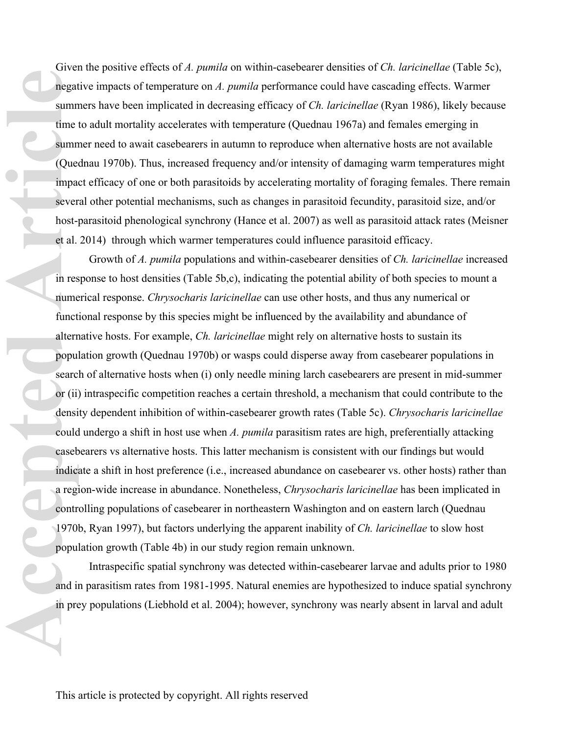Given the positive effects of *A. pumila* on within-casebearer densities of *Ch. laricinellae* (Table 5c), negative impacts of temperature on *A. pumila* performance could have cascading effects. Warmer summers have been implicated in decreasing efficacy of *Ch. laricinellae* (Ryan 1986), likely because time to adult mortality accelerates with temperature (Quednau 1967a) and females emerging in summer need to await casebearers in autumn to reproduce when alternative hosts are not available (Quednau 1970b). Thus, increased frequency and/or intensity of damaging warm temperatures might impact efficacy of one or both parasitoids by accelerating mortality of foraging females. There remain several other potential mechanisms, such as changes in parasitoid fecundity, parasitoid size, and/or host-parasitoid phenological synchrony (Hance et al. 2007) as well as parasitoid attack rates (Meisner et al. 2014) through which warmer temperatures could influence parasitoid efficacy.

Growth of *A. pumila* populations and within-casebearer densities of *Ch. laricinellae* increased in response to host densities (Table 5b,c), indicating the potential ability of both species to mount a numerical response. *Chrysocharis laricinellae* can use other hosts, and thus any numerical or functional response by this species might be influenced by the availability and abundance of alternative hosts. For example, *Ch. laricinellae* might rely on alternative hosts to sustain its population growth (Quednau 1970b) or wasps could disperse away from casebearer populations in search of alternative hosts when (i) only needle mining larch casebearers are present in mid-summer or (ii) intraspecific competition reaches a certain threshold, a mechanism that could contribute to the density dependent inhibition of within-casebearer growth rates (Table 5c). *Chrysocharis laricinellae*  could undergo a shift in host use when *A. pumila* parasitism rates are high, preferentially attacking casebearers vs alternative hosts. This latter mechanism is consistent with our findings but would indicate a shift in host preference (i.e., increased abundance on casebearer vs. other hosts) rather than a region-wide increase in abundance. Nonetheless, *Chrysocharis laricinellae* has been implicated in controlling populations of casebearer in northeastern Washington and on eastern larch (Quednau 1970b, Ryan 1997), but factors underlying the apparent inability of *Ch. laricinellae* to slow host population growth (Table 4b) in our study region remain unknown. **Accepted Articles**<br> **Accepted Articles**<br> **Accepted Articles**<br> **Accepted Articles**<br> **Accepted Articles**<br> **Accepted Articles**<br> **Accepted Articles**<br> **Accepted Articles**<br> **Accepted Articles**<br> **Accepted Articles**<br> **Accepted Ar** 

Intraspecific spatial synchrony was detected within-casebearer larvae and adults prior to 1980 and in parasitism rates from 1981-1995. Natural enemies are hypothesized to induce spatial synchrony in prey populations (Liebhold et al. 2004); however, synchrony was nearly absent in larval and adult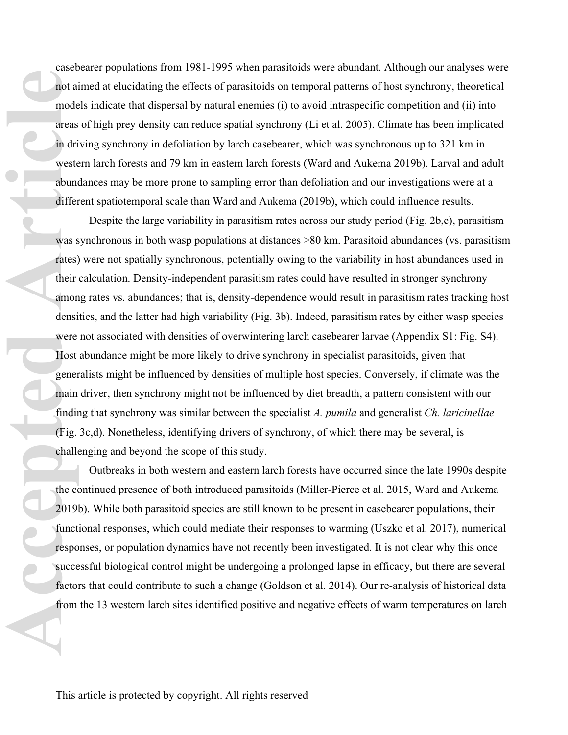casebearer populations from 1981-1995 when parasitoids were abundant. Although our analyses were not aimed at elucidating the effects of parasitoids on temporal patterns of host synchrony, theoretical models indicate that dispersal by natural enemies (i) to avoid intraspecific competition and (ii) into areas of high prey density can reduce spatial synchrony (Li et al. 2005). Climate has been implicated in driving synchrony in defoliation by larch casebearer, which was synchronous up to 321 km in western larch forests and 79 km in eastern larch forests (Ward and Aukema 2019b). Larval and adult abundances may be more prone to sampling error than defoliation and our investigations were at a different spatiotemporal scale than Ward and Aukema (2019b), which could influence results.

Despite the large variability in parasitism rates across our study period (Fig. 2b,c), parasitism was synchronous in both wasp populations at distances  $>80$  km. Parasitoid abundances (vs. parasitism rates) were not spatially synchronous, potentially owing to the variability in host abundances used in their calculation. Density-independent parasitism rates could have resulted in stronger synchrony among rates vs. abundances; that is, density-dependence would result in parasitism rates tracking host densities, and the latter had high variability (Fig. 3b). Indeed, parasitism rates by either wasp species were not associated with densities of overwintering larch casebearer larvae (Appendix S1: Fig. S4). Host abundance might be more likely to drive synchrony in specialist parasitoids, given that generalists might be influenced by densities of multiple host species. Conversely, if climate was the main driver, then synchrony might not be influenced by diet breadth, a pattern consistent with our finding that synchrony was similar between the specialist *A. pumila* and generalist *Ch. laricinellae* (Fig. 3c,d). Nonetheless, identifying drivers of synchrony, of which there may be several, is challenging and beyond the scope of this study. **Access**<br> **Access**<br> **Access**<br> **Access**<br> **Access**<br> **Access**<br> **Access**<br> **Access**<br> **Access**<br> **Access**<br> **Access**<br> **Access**<br> **Access**<br> **Access**<br> **Access**<br> **Access**<br> **Access**<br> **Access**<br> **Access**<br> **Access**<br> **Access**<br> **Access**<br> **A** 

Outbreaks in both western and eastern larch forests have occurred since the late 1990s despite the continued presence of both introduced parasitoids (Miller-Pierce et al. 2015, Ward and Aukema 2019b). While both parasitoid species are still known to be present in casebearer populations, their functional responses, which could mediate their responses to warming (Uszko et al. 2017), numerical responses, or population dynamics have not recently been investigated. It is not clear why this once successful biological control might be undergoing a prolonged lapse in efficacy, but there are several factors that could contribute to such a change (Goldson et al. 2014). Our re-analysis of historical data from the 13 western larch sites identified positive and negative effects of warm temperatures on larch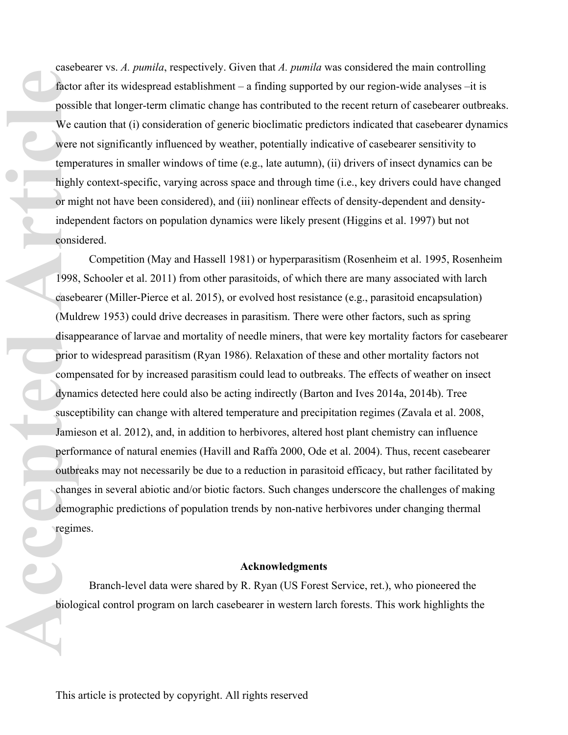casebearer vs. *A. pumila*, respectively. Given that *A. pumila* was considered the main controlling factor after its widespread establishment – a finding supported by our region-wide analyses –it is possible that longer-term climatic change has contributed to the recent return of casebearer outbreaks. We caution that (i) consideration of generic bioclimatic predictors indicated that casebearer dynamics were not significantly influenced by weather, potentially indicative of casebearer sensitivity to temperatures in smaller windows of time (e.g., late autumn), (ii) drivers of insect dynamics can be highly context-specific, varying across space and through time (i.e., key drivers could have changed or might not have been considered), and (iii) nonlinear effects of density-dependent and densityindependent factors on population dynamics were likely present (Higgins et al. 1997) but not considered.

Competition (May and Hassell 1981) or hyperparasitism (Rosenheim et al. 1995, Rosenheim 1998, Schooler et al. 2011) from other parasitoids, of which there are many associated with larch casebearer (Miller-Pierce et al. 2015), or evolved host resistance (e.g., parasitoid encapsulation) (Muldrew 1953) could drive decreases in parasitism. There were other factors, such as spring disappearance of larvae and mortality of needle miners, that were key mortality factors for casebearer prior to widespread parasitism (Ryan 1986). Relaxation of these and other mortality factors not compensated for by increased parasitism could lead to outbreaks. The effects of weather on insect dynamics detected here could also be acting indirectly (Barton and Ives 2014a, 2014b). Tree susceptibility can change with altered temperature and precipitation regimes (Zavala et al. 2008, Jamieson et al. 2012), and, in addition to herbivores, altered host plant chemistry can influence performance of natural enemies (Havill and Raffa 2000, Ode et al. 2004). Thus, recent casebearer outbreaks may not necessarily be due to a reduction in parasitoid efficacy, but rather facilitated by changes in several abiotic and/or biotic factors. Such changes underscore the challenges of making demographic predictions of population trends by non-native herbivores under changing thermal regimes. Factor<br>
possi<br>
We c<br>
were<br>
temp<br>
highl<br>
or mi<br>
indep<br>
consi<br>
1998,<br>
caseb<br>
(Mul<sub>d</sub> disap<br>
prior<br>
comp<br>
dynar<br>
susce<br>
Jamié<br>
prior<br>
comp<br>
dynar<br>
susce<br>
Jamié<br>
prior<br>
comp<br>
dynar<br>
susce<br>
Jamié<br>
prior<br>
comp<br>
dynar<br>
demotior<br>

## **Acknowledgments**

Branch-level data were shared by R. Ryan (US Forest Service, ret.), who pioneered the biological control program on larch casebearer in western larch forests. This work highlights the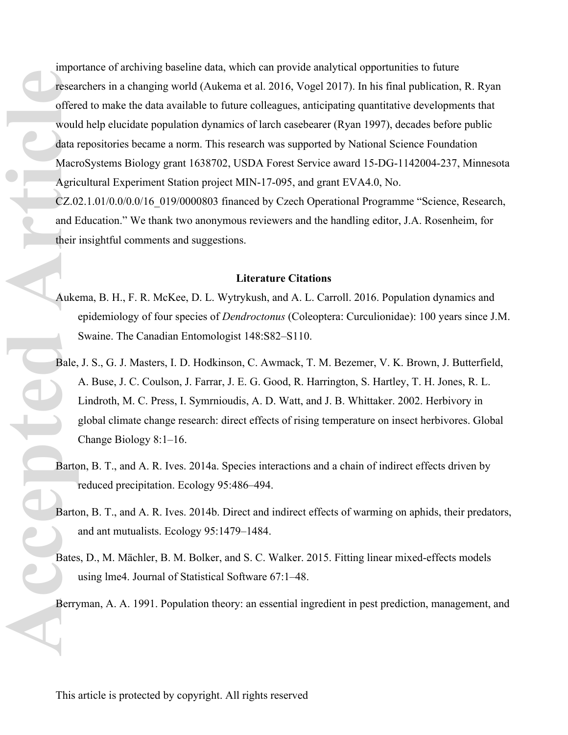importance of archiving baseline data, which can provide analytical opportunities to future researchers in a changing world (Aukema et al. 2016, Vogel 2017). In his final publication, R. Ryan offered to make the data available to future colleagues, anticipating quantitative developments that would help elucidate population dynamics of larch casebearer (Ryan 1997), decades before public data repositories became a norm. This research was supported by National Science Foundation MacroSystems Biology grant 1638702, USDA Forest Service award 15-DG-1142004-237, Minnesota Agricultural Experiment Station project MIN-17-095, and grant EVA4.0, No. CZ.02.1.01/0.0/0.0/16 019/0000803 financed by Czech Operational Programme "Science, Research, and Education." We thank two anonymous reviewers and the handling editor, J.A. Rosenheim, for Fresea<br>
offere<br>
would<br>
data 1<br>
Macr<br>
Agric CZ.0<br>
and E<br>
their<br>
Auke<br>
Bale,<br>
Barto<br>
Barto<br>
Barto<br>
Barto<br>
Barto

their insightful comments and suggestions.

#### **Literature Citations**

- Aukema, B. H., F. R. McKee, D. L. Wytrykush, and A. L. Carroll. 2016. Population dynamics and epidemiology of four species of *Dendroctonus* (Coleoptera: Curculionidae): 100 years since J.M. Swaine. The Canadian Entomologist 148:S82–S110.
- Bale, J. S., G. J. Masters, I. D. Hodkinson, C. Awmack, T. M. Bezemer, V. K. Brown, J. Butterfield, A. Buse, J. C. Coulson, J. Farrar, J. E. G. Good, R. Harrington, S. Hartley, T. H. Jones, R. L. Lindroth, M. C. Press, I. Symrnioudis, A. D. Watt, and J. B. Whittaker. 2002. Herbivory in global climate change research: direct effects of rising temperature on insect herbivores. Global Change Biology 8:1–16.
- Barton, B. T., and A. R. Ives. 2014a. Species interactions and a chain of indirect effects driven by reduced precipitation. Ecology 95:486–494.
- Barton, B. T., and A. R. Ives. 2014b. Direct and indirect effects of warming on aphids, their predators, and ant mutualists. Ecology 95:1479–1484.
- Bates, D., M. Mächler, B. M. Bolker, and S. C. Walker. 2015. Fitting linear mixed-effects models using lme4. Journal of Statistical Software 67:1–48.
- Berryman, A. A. 1991. Population theory: an essential ingredient in pest prediction, management, and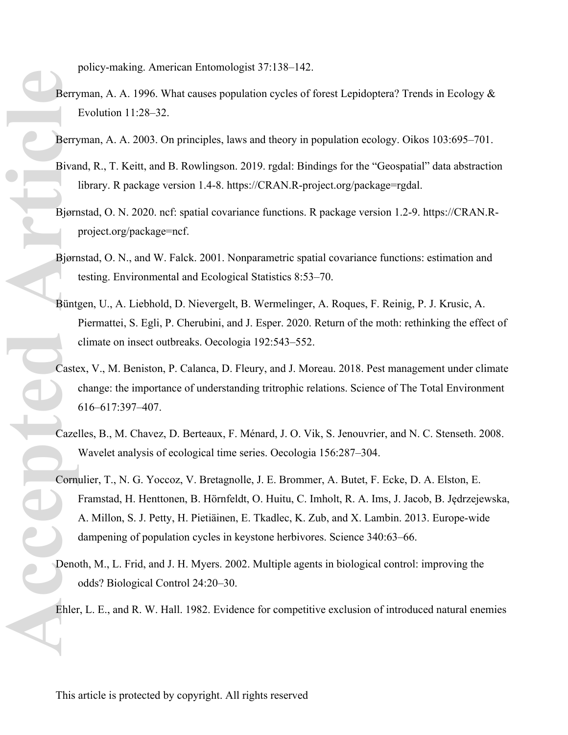policy-making. American Entomologist 37:138–142.

- Berryman, A. A. 1996. What causes population cycles of forest Lepidoptera? Trends in Ecology & Evolution 11:28–32.
- Berryman, A. A. 2003. On principles, laws and theory in population ecology. Oikos 103:695–701.
- Bivand, R., T. Keitt, and B. Rowlingson. 2019. rgdal: Bindings for the "Geospatial" data abstraction library. R package version 1.4-8. https://CRAN.R-project.org/package=rgdal.
- Bjørnstad, O. N. 2020. ncf: spatial covariance functions. R package version 1.2-9. https://CRAN.Rproject.org/package=ncf.
- Bjørnstad, O. N., and W. Falck. 2001. Nonparametric spatial covariance functions: estimation and testing. Environmental and Ecological Statistics 8:53–70.
- Büntgen, U., A. Liebhold, D. Nievergelt, B. Wermelinger, A. Roques, F. Reinig, P. J. Krusic, A. Piermattei, S. Egli, P. Cherubini, and J. Esper. 2020. Return of the moth: rethinking the effect of climate on insect outbreaks. Oecologia 192:543–552.
- Castex, V., M. Beniston, P. Calanca, D. Fleury, and J. Moreau. 2018. Pest management under climate change: the importance of understanding tritrophic relations. Science of The Total Environment 616–617:397–407.
- Cazelles, B., M. Chavez, D. Berteaux, F. Ménard, J. O. Vik, S. Jenouvrier, and N. C. Stenseth. 2008. Wavelet analysis of ecological time series. Oecologia 156:287–304.
- Cornulier, T., N. G. Yoccoz, V. Bretagnolle, J. E. Brommer, A. Butet, F. Ecke, D. A. Elston, E. Framstad, H. Henttonen, B. Hörnfeldt, O. Huitu, C. Imholt, R. A. Ims, J. Jacob, B. Jędrzejewska, A. Millon, S. J. Petty, H. Pietiäinen, E. Tkadlec, K. Zub, and X. Lambin. 2013. Europe-wide dampening of population cycles in keystone herbivores. Science 340:63–66. **Berry Bivar**<br>Biorres Biorres Articles<br>Biorres Biorres Articles<br>Cazel Corne<br>Cazel Corne
	- Denoth, M., L. Frid, and J. H. Myers. 2002. Multiple agents in biological control: improving the odds? Biological Control 24:20–30.

Ehler, L. E., and R. W. Hall. 1982. Evidence for competitive exclusion of introduced natural enemies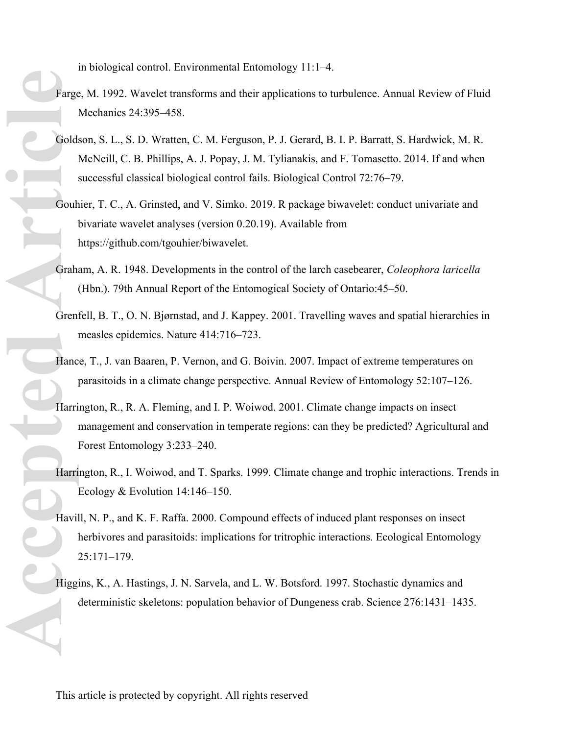in biological control. Environmental Entomology 11:1–4.

- Farge, M. 1992. Wavelet transforms and their applications to turbulence. Annual Review of Fluid Mechanics 24:395–458.
- Goldson, S. L., S. D. Wratten, C. M. Ferguson, P. J. Gerard, B. I. P. Barratt, S. Hardwick, M. R. McNeill, C. B. Phillips, A. J. Popay, J. M. Tylianakis, and F. Tomasetto. 2014. If and when successful classical biological control fails. Biological Control 72:76–79. Farge<br>Gold:<br>Gold:<br>Gouh<br>Grah:<br>Grah:<br>Harri<br>Harri Harri<br>Harri
	- Gouhier, T. C., A. Grinsted, and V. Simko. 2019. R package biwavelet: conduct univariate and bivariate wavelet analyses (version 0.20.19). Available from https://github.com/tgouhier/biwavelet.
	- Graham, A. R. 1948. Developments in the control of the larch casebearer, *Coleophora laricella* (Hbn.). 79th Annual Report of the Entomogical Society of Ontario:45–50.
	- Grenfell, B. T., O. N. Bjørnstad, and J. Kappey. 2001. Travelling waves and spatial hierarchies in measles epidemics. Nature 414:716–723.
	- Hance, T., J. van Baaren, P. Vernon, and G. Boivin. 2007. Impact of extreme temperatures on parasitoids in a climate change perspective. Annual Review of Entomology 52:107–126.
	- Harrington, R., R. A. Fleming, and I. P. Woiwod. 2001. Climate change impacts on insect management and conservation in temperate regions: can they be predicted? Agricultural and Forest Entomology 3:233–240.
	- Harrington, R., I. Woiwod, and T. Sparks. 1999. Climate change and trophic interactions. Trends in Ecology & Evolution 14:146–150.
	- Havill, N. P., and K. F. Raffa. 2000. Compound effects of induced plant responses on insect herbivores and parasitoids: implications for tritrophic interactions. Ecological Entomology 25:171–179.
	- Higgins, K., A. Hastings, J. N. Sarvela, and L. W. Botsford. 1997. Stochastic dynamics and deterministic skeletons: population behavior of Dungeness crab. Science 276:1431–1435.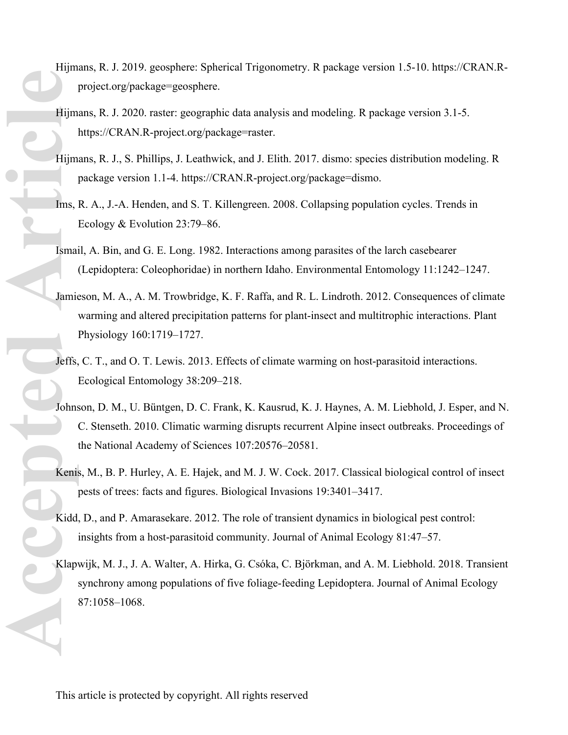- Hijmans, R. J. 2019. geosphere: Spherical Trigonometry. R package version 1.5-10. https://CRAN.Rproject.org/package=geosphere.
- Hijmans, R. J. 2020. raster: geographic data analysis and modeling. R package version 3.1-5. https://CRAN.R-project.org/package=raster.
- Hijmans, R. J., S. Phillips, J. Leathwick, and J. Elith. 2017. dismo: species distribution modeling. R package version 1.1-4. https://CRAN.R-project.org/package=dismo.
- Ims, R. A., J.-A. Henden, and S. T. Killengreen. 2008. Collapsing population cycles. Trends in Ecology & Evolution 23:79–86.
- Ismail, A. Bin, and G. E. Long. 1982. Interactions among parasites of the larch casebearer (Lepidoptera: Coleophoridae) in northern Idaho. Environmental Entomology 11:1242–1247.
- Jamieson, M. A., A. M. Trowbridge, K. F. Raffa, and R. L. Lindroth. 2012. Consequences of climate warming and altered precipitation patterns for plant-insect and multitrophic interactions. Plant Physiology 160:1719–1727.
- Jeffs, C. T., and O. T. Lewis. 2013. Effects of climate warming on host-parasitoid interactions. Ecological Entomology 38:209–218.
- Johnson, D. M., U. Büntgen, D. C. Frank, K. Kausrud, K. J. Haynes, A. M. Liebhold, J. Esper, and N. C. Stenseth. 2010. Climatic warming disrupts recurrent Alpine insect outbreaks. Proceedings of the National Academy of Sciences 107:20576–20581.
- Kenis, M., B. P. Hurley, A. E. Hajek, and M. J. W. Cock. 2017. Classical biological control of insect pests of trees: facts and figures. Biological Invasions 19:3401–3417.
- Kidd, D., and P. Amarasekare. 2012. The role of transient dynamics in biological pest control: insights from a host-parasitoid community. Journal of Animal Ecology 81:47–57.
- Klapwijk, M. J., J. A. Walter, A. Hirka, G. Csóka, C. Björkman, and A. M. Liebhold. 2018. Transient synchrony among populations of five foliage-feeding Lepidoptera. Journal of Animal Ecology 87:1058–1068. Hijm Hijm Hijm Jamie<br>
Leffs, Johns<br>
Leffs, Johns<br>
Kenis<br>
Klap<br>
Klap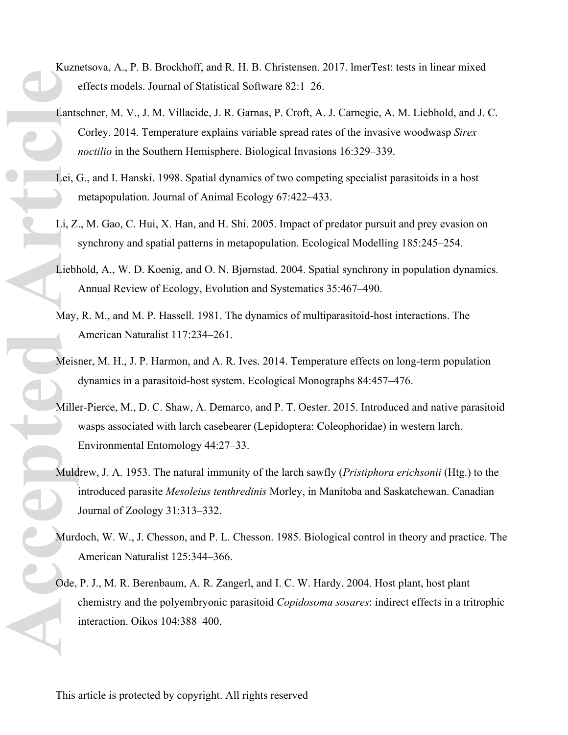- Kuznetsova, A., P. B. Brockhoff, and R. H. B. Christensen. 2017. lmerTest: tests in linear mixed effects models. Journal of Statistical Software 82:1–26.
- Lantschner, M. V., J. M. Villacide, J. R. Garnas, P. Croft, A. J. Carnegie, A. M. Liebhold, and J. C. Corley. 2014. Temperature explains variable spread rates of the invasive woodwasp *Sirex noctilio* in the Southern Hemisphere. Biological Invasions 16:329–339. Lants<br>Lei, C<br>Li, Z<br>Liebł<br>May,<br>Meis:<br>Mille<br>Muld<br>D<br>Ode,
	- Lei, G., and I. Hanski. 1998. Spatial dynamics of two competing specialist parasitoids in a host metapopulation. Journal of Animal Ecology 67:422–433.
	- Li, Z., M. Gao, C. Hui, X. Han, and H. Shi. 2005. Impact of predator pursuit and prey evasion on synchrony and spatial patterns in metapopulation. Ecological Modelling 185:245–254.
	- Liebhold, A., W. D. Koenig, and O. N. Bjørnstad. 2004. Spatial synchrony in population dynamics. Annual Review of Ecology, Evolution and Systematics 35:467–490.
	- May, R. M., and M. P. Hassell. 1981. The dynamics of multiparasitoid-host interactions. The American Naturalist 117:234–261.
	- Meisner, M. H., J. P. Harmon, and A. R. Ives. 2014. Temperature effects on long-term population dynamics in a parasitoid-host system. Ecological Monographs 84:457–476.
	- Miller-Pierce, M., D. C. Shaw, A. Demarco, and P. T. Oester. 2015. Introduced and native parasitoid wasps associated with larch casebearer (Lepidoptera: Coleophoridae) in western larch. Environmental Entomology 44:27–33.
	- Muldrew, J. A. 1953. The natural immunity of the larch sawfly (*Pristiphora erichsonii* (Htg.) to the introduced parasite *Mesoleius tenthredinis* Morley, in Manitoba and Saskatchewan. Canadian Journal of Zoology 31:313–332.
	- Murdoch, W. W., J. Chesson, and P. L. Chesson. 1985. Biological control in theory and practice. The American Naturalist 125:344–366.
	- Ode, P. J., M. R. Berenbaum, A. R. Zangerl, and I. C. W. Hardy. 2004. Host plant, host plant chemistry and the polyembryonic parasitoid *Copidosoma sosares*: indirect effects in a tritrophic interaction. Oikos 104:388–400.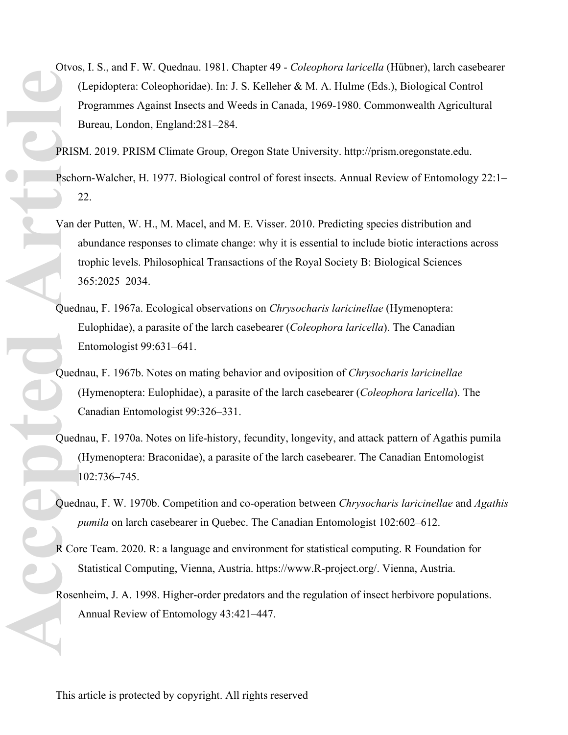Otvos, I. S., and F. W. Quednau. 1981. Chapter 49 - *Coleophora laricella* (Hübner), larch casebearer (Lepidoptera: Coleophoridae). In: J. S. Kelleher & M. A. Hulme (Eds.), Biological Control Programmes Against Insects and Weeds in Canada, 1969-1980. Commonwealth Agricultural Bureau, London, England:281–284.

PRISM. 2019. PRISM Climate Group, Oregon State University. http://prism.oregonstate.edu.

Pschorn-Walcher, H. 1977. Biological control of forest insects. Annual Review of Entomology 22:1– 22.

- Van der Putten, W. H., M. Macel, and M. E. Visser. 2010. Predicting species distribution and abundance responses to climate change: why it is essential to include biotic interactions across trophic levels. Philosophical Transactions of the Royal Society B: Biological Sciences 365:2025–2034. PRIS<br>PRIS<br>PRIS<br>PRIS<br>PRIS<br>PRIS<br>Qued<br>Qued<br>Rose
	- Quednau, F. 1967a. Ecological observations on *Chrysocharis laricinellae* (Hymenoptera: Eulophidae), a parasite of the larch casebearer (*Coleophora laricella*). The Canadian Entomologist 99:631–641.
	- Quednau, F. 1967b. Notes on mating behavior and oviposition of *Chrysocharis laricinellae* (Hymenoptera: Eulophidae), a parasite of the larch casebearer (*Coleophora laricella*). The Canadian Entomologist 99:326–331.
	- Quednau, F. 1970a. Notes on life-history, fecundity, longevity, and attack pattern of Agathis pumila (Hymenoptera: Braconidae), a parasite of the larch casebearer. The Canadian Entomologist 102:736–745.
	- Quednau, F. W. 1970b. Competition and co-operation between *Chrysocharis laricinellae* and *Agathis pumila* on larch casebearer in Quebec. The Canadian Entomologist 102:602–612.
	- R Core Team. 2020. R: a language and environment for statistical computing. R Foundation for Statistical Computing, Vienna, Austria. https://www.R-project.org/. Vienna, Austria.
	- Rosenheim, J. A. 1998. Higher-order predators and the regulation of insect herbivore populations. Annual Review of Entomology 43:421–447.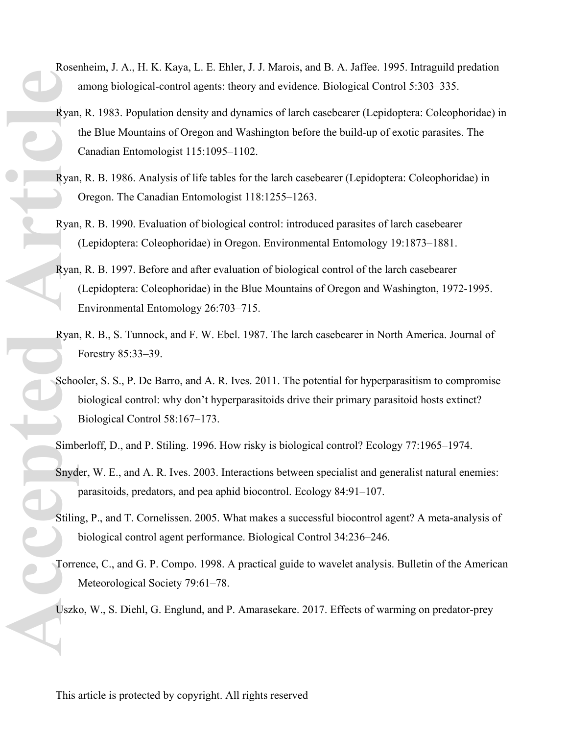- Rosenheim, J. A., H. K. Kaya, L. E. Ehler, J. J. Marois, and B. A. Jaffee. 1995. Intraguild predation among biological-control agents: theory and evidence. Biological Control 5:303–335.
- Ryan, R. 1983. Population density and dynamics of larch casebearer (Lepidoptera: Coleophoridae) in the Blue Mountains of Oregon and Washington before the build-up of exotic parasites. The Canadian Entomologist 115:1095–1102. **Example Articles Articles Articles Articles Articles Articles Articles Articles Articles Articles Articles Articles Articles Articles Articles Articles Articles Articles Articles Articles Articles Articles Articles Articl** 
	- Ryan, R. B. 1986. Analysis of life tables for the larch casebearer (Lepidoptera: Coleophoridae) in Oregon. The Canadian Entomologist 118:1255–1263.
	- Ryan, R. B. 1990. Evaluation of biological control: introduced parasites of larch casebearer (Lepidoptera: Coleophoridae) in Oregon. Environmental Entomology 19:1873–1881.
	- Ryan, R. B. 1997. Before and after evaluation of biological control of the larch casebearer (Lepidoptera: Coleophoridae) in the Blue Mountains of Oregon and Washington, 1972-1995. Environmental Entomology 26:703–715.
	- Ryan, R. B., S. Tunnock, and F. W. Ebel. 1987. The larch casebearer in North America. Journal of Forestry 85:33–39.
	- Schooler, S. S., P. De Barro, and A. R. Ives. 2011. The potential for hyperparasitism to compromise biological control: why don't hyperparasitoids drive their primary parasitoid hosts extinct? Biological Control 58:167–173.
	- Simberloff, D., and P. Stiling. 1996. How risky is biological control? Ecology 77:1965–1974.
	- Snyder, W. E., and A. R. Ives. 2003. Interactions between specialist and generalist natural enemies: parasitoids, predators, and pea aphid biocontrol. Ecology 84:91–107.
	- Stiling, P., and T. Cornelissen. 2005. What makes a successful biocontrol agent? A meta-analysis of biological control agent performance. Biological Control 34:236–246.
	- Torrence, C., and G. P. Compo. 1998. A practical guide to wavelet analysis. Bulletin of the American Meteorological Society 79:61–78.

Uszko, W., S. Diehl, G. Englund, and P. Amarasekare. 2017. Effects of warming on predator-prey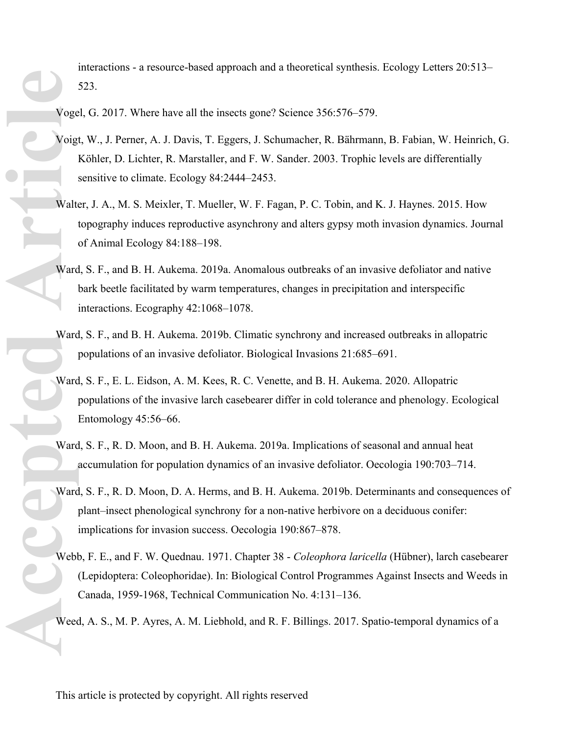interactions - a resource-based approach and a theoretical synthesis. Ecology Letters 20:513– 523.

Vogel, G. 2017. Where have all the insects gone? Science 356:576–579.

- Voigt, W., J. Perner, A. J. Davis, T. Eggers, J. Schumacher, R. Bährmann, B. Fabian, W. Heinrich, G. Köhler, D. Lichter, R. Marstaller, and F. W. Sander. 2003. Trophic levels are differentially sensitive to climate. Ecology 84:2444-2453.
- Walter, J. A., M. S. Meixler, T. Mueller, W. F. Fagan, P. C. Tobin, and K. J. Haynes. 2015. How topography induces reproductive asynchrony and alters gypsy moth invasion dynamics. Journal of Animal Ecology 84:188–198.
- Ward, S. F., and B. H. Aukema. 2019a. Anomalous outbreaks of an invasive defoliator and native bark beetle facilitated by warm temperatures, changes in precipitation and interspecific interactions. Ecography 42:1068–1078.
- Ward, S. F., and B. H. Aukema. 2019b. Climatic synchrony and increased outbreaks in allopatric populations of an invasive defoliator. Biological Invasions 21:685–691.
- Ward, S. F., E. L. Eidson, A. M. Kees, R. C. Venette, and B. H. Aukema. 2020. Allopatric populations of the invasive larch casebearer differ in cold tolerance and phenology. Ecological Entomology 45:56–66. **Accession**<br>
Voge<br>
Voig<br>
Waltic<br>
Ward<br>
Ward<br>
Ward<br>
Ward<br>
Ward<br>
Ward<br>
Ward<br>
Ward<br>
Ward<br>
Ward<br>
Ward
	- Ward, S. F., R. D. Moon, and B. H. Aukema. 2019a. Implications of seasonal and annual heat accumulation for population dynamics of an invasive defoliator. Oecologia 190:703–714.
	- Ward, S. F., R. D. Moon, D. A. Herms, and B. H. Aukema. 2019b. Determinants and consequences of plant–insect phenological synchrony for a non-native herbivore on a deciduous conifer: implications for invasion success. Oecologia 190:867–878.
	- Webb, F. E., and F. W. Quednau. 1971. Chapter 38 *Coleophora laricella* (Hübner), larch casebearer (Lepidoptera: Coleophoridae). In: Biological Control Programmes Against Insects and Weeds in Canada, 1959-1968, Technical Communication No. 4:131–136.

Weed, A. S., M. P. Ayres, A. M. Liebhold, and R. F. Billings. 2017. Spatio-temporal dynamics of a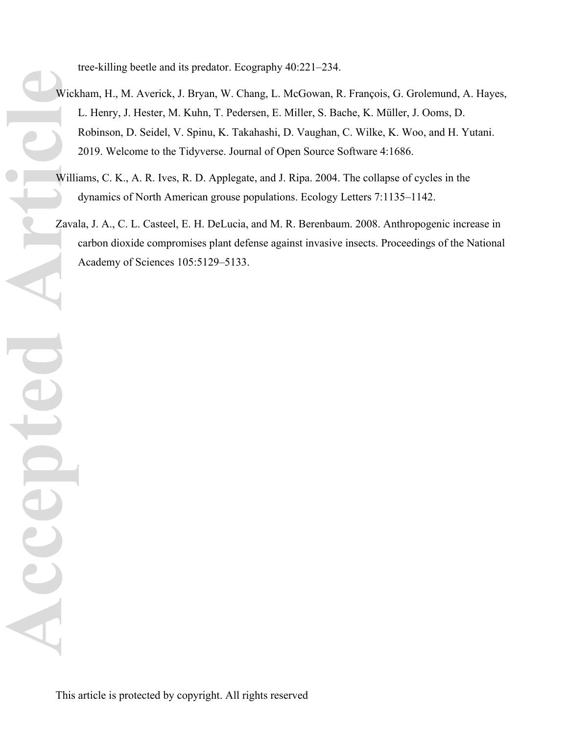tree-killing beetle and its predator. Ecography 40:221–234.

- Wickham, H., M. Averick, J. Bryan, W. Chang, L. McGowan, R. François, G. Grolemund, A. Hayes, L. Henry, J. Hester, M. Kuhn, T. Pedersen, E. Miller, S. Bache, K. Müller, J. Ooms, D. Robinson, D. Seidel, V. Spinu, K. Takahashi, D. Vaughan, C. Wilke, K. Woo, and H. Yutani. 2019. Welcome to the Tidyverse. Journal of Open Source Software 4:1686. **Accepted Artists** 
	- Williams, C. K., A. R. Ives, R. D. Applegate, and J. Ripa. 2004. The collapse of cycles in the dynamics of North American grouse populations. Ecology Letters 7:1135–1142.
	- Zavala, J. A., C. L. Casteel, E. H. DeLucia, and M. R. Berenbaum. 2008. Anthropogenic increase in carbon dioxide compromises plant defense against invasive insects. Proceedings of the National Academy of Sciences 105:5129–5133.

O<br>D

ACCE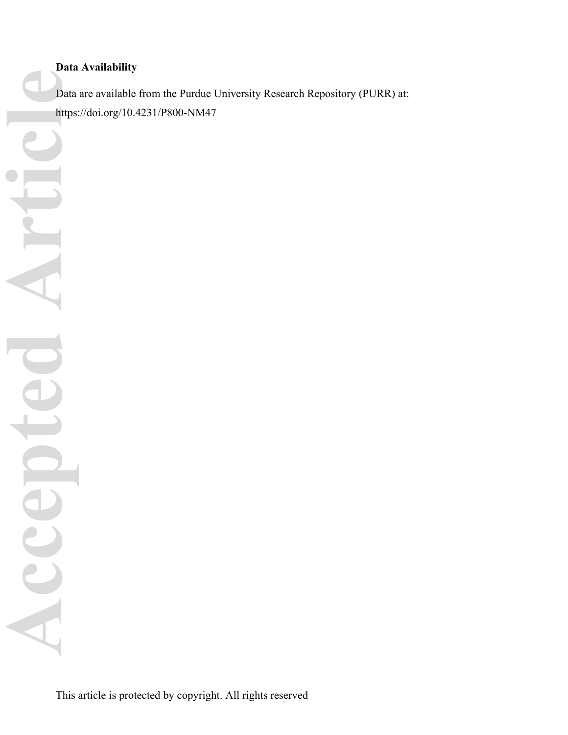# **Data Availability**

Data are available from the Purdue University Research Repository (PURR) at: <https://doi.org/10.4231/P800-NM47>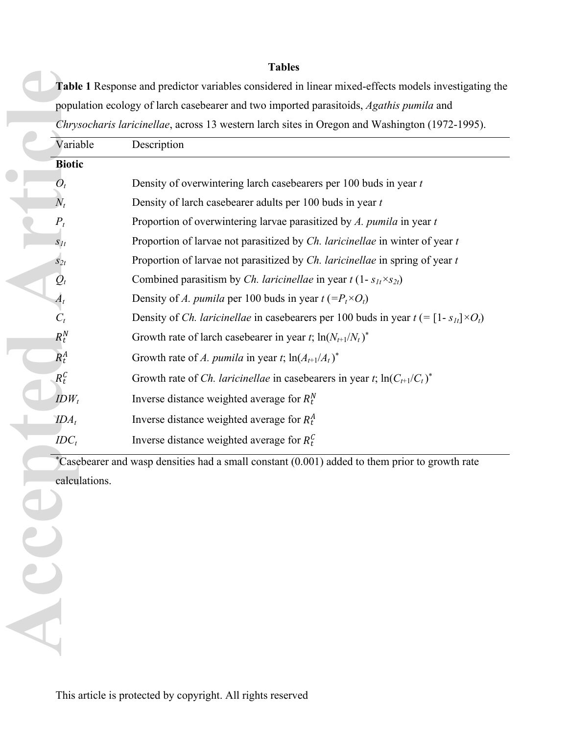# **Tables**

|                 | Chrysocharis laricinellae, across 13 western larch sites in Oregon and Washington (1972-1995).                                                         |
|-----------------|--------------------------------------------------------------------------------------------------------------------------------------------------------|
| Variable        | Description                                                                                                                                            |
| <b>Biotic</b>   |                                                                                                                                                        |
| $O_t$           | Density of overwintering larch casebearers per $100$ buds in year $t$                                                                                  |
| $N_t$           | Density of larch casebearer adults per 100 buds in year $t$                                                                                            |
| $P_t$           | Proportion of overwintering larvae parasitized by $A$ . pumila in year $t$                                                                             |
| $S_{lt}$        | Proportion of larvae not parasitized by Ch. laricinellae in winter of year t                                                                           |
| $S_{2t}$        | Proportion of larvae not parasitized by <i>Ch. laricinellae</i> in spring of year t                                                                    |
| $\mathcal{Q}_t$ | Combined parasitism by <i>Ch. laricinellae</i> in year $t(1 - s_{1t} \times s_{2t})$<br>Density of A. pumila per 100 buds in year $t = P_t \times O_t$ |
| $A_t$<br>$C_t$  | Density of <i>Ch. laricinellae</i> in casebearers per 100 buds in year $t = [1 - s_{1t}] \times O_t$                                                   |
| $R_t^N$         | Growth rate of larch casebearer in year t; $ln(N_{t+1}/N_t)^*$                                                                                         |
| $R_t^A$         | Growth rate of A. pumila in year t; $ln(A_{t+1}/A_t)^*$                                                                                                |
| $R_t^C$         | Growth rate of <i>Ch. laricinellae</i> in casebearers in year <i>t</i> ; $ln(C_{t+1}/C_t)^*$                                                           |
| $IDW_t$         | Inverse distance weighted average for $R_t^N$                                                                                                          |
| $IDA_t$         | Inverse distance weighted average for $R_t^A$                                                                                                          |
|                 |                                                                                                                                                        |
| $IDC_t$         | Inverse distance weighted average for $R_t^C$                                                                                                          |
|                 | *Casebearer and wasp densities had a small constant (0.001) added to them prior to growth rate                                                         |
| calculations.   |                                                                                                                                                        |
|                 |                                                                                                                                                        |
|                 |                                                                                                                                                        |
|                 |                                                                                                                                                        |
|                 |                                                                                                                                                        |
|                 |                                                                                                                                                        |
|                 |                                                                                                                                                        |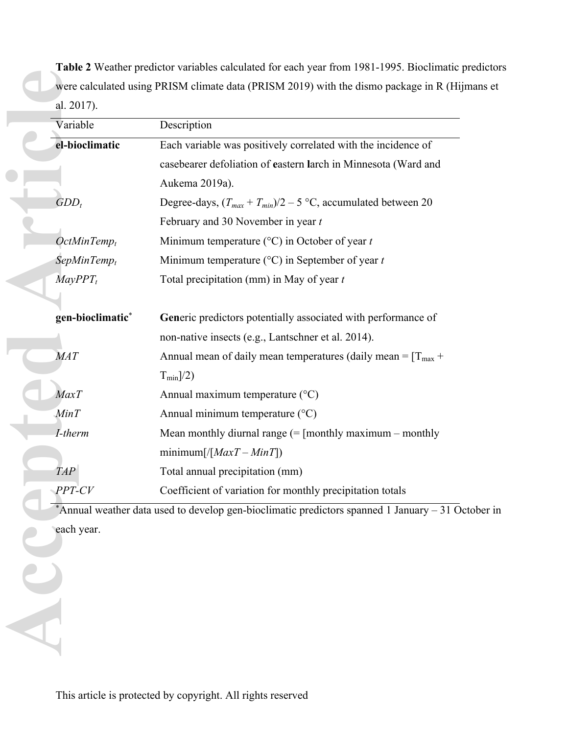**Table 2** Weather predictor variables calculated for each year from 1981-1995. Bioclimatic predictors were calculated using PRISM climate data (PRISM 2019) with the dismo package in R (Hijmans et al. 2017).

| Variable         | Description                                                                     |
|------------------|---------------------------------------------------------------------------------|
| el-bioclimatic   | Each variable was positively correlated with the incidence of                   |
|                  | casebearer defoliation of eastern larch in Minnesota (Ward and                  |
|                  | Aukema 2019a).                                                                  |
| $GDD_t$          | Degree-days, $(T_{max} + T_{min})/2 - 5$ °C, accumulated between 20             |
|                  | February and 30 November in year t                                              |
| $OctMinTemp_t$   | Minimum temperature ( $\rm{^{\circ}C}$ ) in October of year t                   |
| $SepMinTemp_t$   | Minimum temperature ( $\degree$ C) in September of year t                       |
| $MayPPT_t$       | Total precipitation (mm) in May of year $t$                                     |
| gen-bioclimatic* | Generic predictors potentially associated with performance of                   |
|                  | non-native insects (e.g., Lantschner et al. 2014).                              |
| <b>MAT</b>       | Annual mean of daily mean temperatures (daily mean = $[Tmax +$                  |
|                  | $T_{min}$ /2)                                                                   |
| <b>MaxT</b>      | Annual maximum temperature (°C)                                                 |
| MinT             | Annual minimum temperature (°C)                                                 |
| I-therm          | Mean monthly diurnal range $(=[\text{month}]y \text{ maximum} - \text{month}]y$ |
|                  | $minimum \left[ \sqrt{\left[ \frac{MaxT - MinT}{\right]}} \right]$              |
|                  |                                                                                 |
| <b>TAP</b>       | Total annual precipitation (mm)                                                 |

 $*$ Annual weather data used to develop gen-bioclimatic predictors spanned 1 January – 31 October in each year.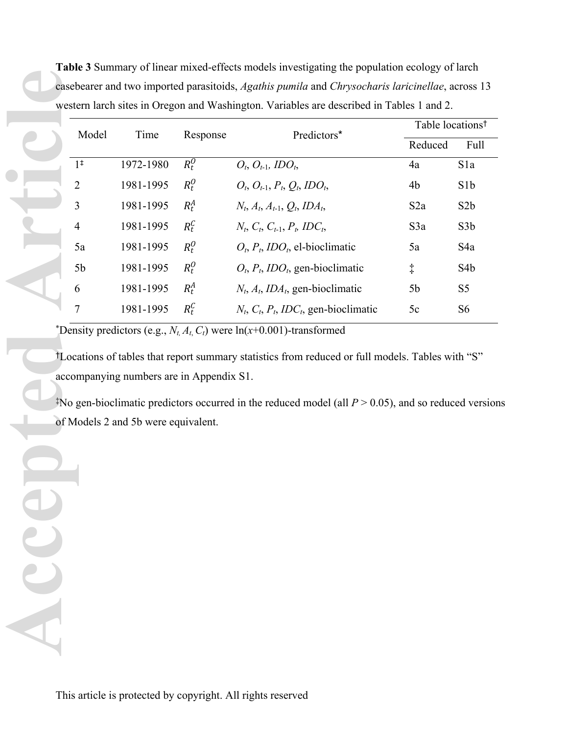**Table 3** Summary of linear mixed-effects models investigating the population ecology of larch casebearer and two imported parasitoids, *Agathis pumila* and *Chrysocharis laricinellae*, across 13 western larch sites in Oregon and Washington. Variables are described in Tables 1 and 2.

| Reduced<br>$R_t^0$<br>$1^{\ddagger}$<br>$O_t$ , $O_{t-1}$ , IDO <sub>t</sub> ,<br>1972-1980<br>4a<br>$R_t^O$<br>$O_t$ , $O_{t-1}$ , $P_t$ , $Q_t$ , IDO <sub>t</sub> ,<br>$\overline{2}$<br>1981-1995<br>4b<br>$R_t^A$<br>3<br>1981-1995<br>$N_t, A_t, A_{t-1}, Q_t, IDA_t,$<br>S <sub>2</sub> a<br>$R_t^C$<br>1981-1995<br>$N_t$ , $C_t$ , $C_{t-1}$ , $P_t$ , IDC <sub>t</sub> ,<br>$\overline{\mathcal{A}}$<br>S3a<br>$R_t^O$<br>1981-1995<br>5a<br>$O_t$ , $P_t$ , <i>IDO</i> <sub>t</sub> , el-bioclimatic<br>5a<br>$R_t^O$<br>1981-1995<br>5 <sub>b</sub><br>$O_t$ , $P_t$ , IDO <sub>t</sub> , gen-bioclimatic<br>$\ddagger$<br>$R_t^A$<br>6<br>1981-1995<br>$N_t$ , $A_t$ , ID $A_t$ , gen-bioclimatic<br>5b<br>$R_t^C$<br>$\overline{7}$<br>1981-1995<br>$N_t$ , $C_t$ , $P_t$ , IDC <sub>t</sub> , gen-bioclimatic<br>5c<br>*Density predictors (e.g., $N_t$ , $A_t$ , $C_t$ ) were ln(x+0.001)-transformed<br>accompanying numbers are in Appendix S1. | of Models 2 and 5b were equivalent. | S <sub>1</sub> b<br>S <sub>2</sub> b<br>S3b<br>S <sub>4</sub> a<br>S <sub>4</sub> b<br>S <sub>5</sub><br>S <sub>6</sub><br><sup>†</sup> Locations of tables that report summary statistics from reduced or full models. Tables with "S"<br><sup>‡</sup> No gen-bioclimatic predictors occurred in the reduced model (all $P > 0.05$ ), and so reduced version | Model | Time | Response | Predictors* | Table locations <sup>†</sup> |                  |
|-------------------------------------------------------------------------------------------------------------------------------------------------------------------------------------------------------------------------------------------------------------------------------------------------------------------------------------------------------------------------------------------------------------------------------------------------------------------------------------------------------------------------------------------------------------------------------------------------------------------------------------------------------------------------------------------------------------------------------------------------------------------------------------------------------------------------------------------------------------------------------------------------------------------------------------------------------------------|-------------------------------------|---------------------------------------------------------------------------------------------------------------------------------------------------------------------------------------------------------------------------------------------------------------------------------------------------------------------------------------------------------------|-------|------|----------|-------------|------------------------------|------------------|
|                                                                                                                                                                                                                                                                                                                                                                                                                                                                                                                                                                                                                                                                                                                                                                                                                                                                                                                                                                   |                                     |                                                                                                                                                                                                                                                                                                                                                               |       |      |          |             |                              | Full             |
|                                                                                                                                                                                                                                                                                                                                                                                                                                                                                                                                                                                                                                                                                                                                                                                                                                                                                                                                                                   |                                     |                                                                                                                                                                                                                                                                                                                                                               |       |      |          |             |                              | S <sub>1</sub> a |
|                                                                                                                                                                                                                                                                                                                                                                                                                                                                                                                                                                                                                                                                                                                                                                                                                                                                                                                                                                   |                                     |                                                                                                                                                                                                                                                                                                                                                               |       |      |          |             |                              |                  |
|                                                                                                                                                                                                                                                                                                                                                                                                                                                                                                                                                                                                                                                                                                                                                                                                                                                                                                                                                                   |                                     |                                                                                                                                                                                                                                                                                                                                                               |       |      |          |             |                              |                  |
|                                                                                                                                                                                                                                                                                                                                                                                                                                                                                                                                                                                                                                                                                                                                                                                                                                                                                                                                                                   |                                     |                                                                                                                                                                                                                                                                                                                                                               |       |      |          |             |                              |                  |
|                                                                                                                                                                                                                                                                                                                                                                                                                                                                                                                                                                                                                                                                                                                                                                                                                                                                                                                                                                   |                                     |                                                                                                                                                                                                                                                                                                                                                               |       |      |          |             |                              |                  |
|                                                                                                                                                                                                                                                                                                                                                                                                                                                                                                                                                                                                                                                                                                                                                                                                                                                                                                                                                                   |                                     |                                                                                                                                                                                                                                                                                                                                                               |       |      |          |             |                              |                  |
|                                                                                                                                                                                                                                                                                                                                                                                                                                                                                                                                                                                                                                                                                                                                                                                                                                                                                                                                                                   |                                     |                                                                                                                                                                                                                                                                                                                                                               |       |      |          |             |                              |                  |
|                                                                                                                                                                                                                                                                                                                                                                                                                                                                                                                                                                                                                                                                                                                                                                                                                                                                                                                                                                   |                                     |                                                                                                                                                                                                                                                                                                                                                               |       |      |          |             |                              |                  |
|                                                                                                                                                                                                                                                                                                                                                                                                                                                                                                                                                                                                                                                                                                                                                                                                                                                                                                                                                                   |                                     |                                                                                                                                                                                                                                                                                                                                                               |       |      |          |             |                              |                  |
|                                                                                                                                                                                                                                                                                                                                                                                                                                                                                                                                                                                                                                                                                                                                                                                                                                                                                                                                                                   |                                     |                                                                                                                                                                                                                                                                                                                                                               |       |      |          |             |                              |                  |
|                                                                                                                                                                                                                                                                                                                                                                                                                                                                                                                                                                                                                                                                                                                                                                                                                                                                                                                                                                   |                                     |                                                                                                                                                                                                                                                                                                                                                               |       |      |          |             |                              |                  |
|                                                                                                                                                                                                                                                                                                                                                                                                                                                                                                                                                                                                                                                                                                                                                                                                                                                                                                                                                                   |                                     |                                                                                                                                                                                                                                                                                                                                                               |       |      |          |             |                              |                  |
|                                                                                                                                                                                                                                                                                                                                                                                                                                                                                                                                                                                                                                                                                                                                                                                                                                                                                                                                                                   |                                     |                                                                                                                                                                                                                                                                                                                                                               |       |      |          |             |                              |                  |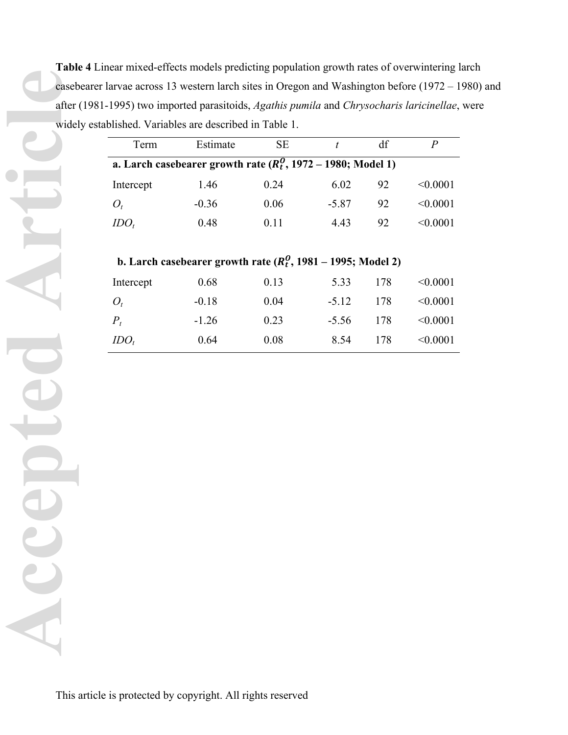**Table 4** Linear mixed-effects models predicting population growth rates of overwintering larch casebearer larvae across 13 western larch sites in Oregon and Washington before (1972 – 1980) and after (1981-1995) two imported parasitoids, *Agathis pumila* and *Chrysocharis laricinellae*, were widely established. Variables are described in Table 1.

| Term                                                                     | Estimate                                                        | <b>SE</b> | t       | df  | $\boldsymbol{P}$ |  |  |  |  |  |
|--------------------------------------------------------------------------|-----------------------------------------------------------------|-----------|---------|-----|------------------|--|--|--|--|--|
| a. Larch casebearer growth rate $(R_t^0, 1972 - 1980; \text{ Model } 1)$ |                                                                 |           |         |     |                  |  |  |  |  |  |
| Intercept                                                                | 1.46                                                            | 0.24      | 6.02    | 92  | < 0.0001         |  |  |  |  |  |
| $O_t$                                                                    | $-0.36$                                                         | 0.06      | $-5.87$ | 92  | < 0.0001         |  |  |  |  |  |
| $IDO_t$                                                                  | 0.48                                                            | 0.11      | 4.43    | 92  | < 0.0001         |  |  |  |  |  |
|                                                                          |                                                                 |           |         |     |                  |  |  |  |  |  |
|                                                                          | b. Larch casebearer growth rate $(R_t^0, 1981 - 1995;$ Model 2) |           |         |     |                  |  |  |  |  |  |
| Intercept                                                                | 0.68                                                            | 0.13      | 5.33    | 178 | < 0.0001         |  |  |  |  |  |
| $O_t$                                                                    | $-0.18$                                                         | 0.04      | $-5.12$ | 178 | < 0.0001         |  |  |  |  |  |
| $P_{t}$                                                                  | $-1.26$                                                         | 0.23      | $-5.56$ | 178 | < 0.0001         |  |  |  |  |  |
| IDO,                                                                     | 0.64                                                            | 0.08      | 8.54    | 178 | < 0.0001         |  |  |  |  |  |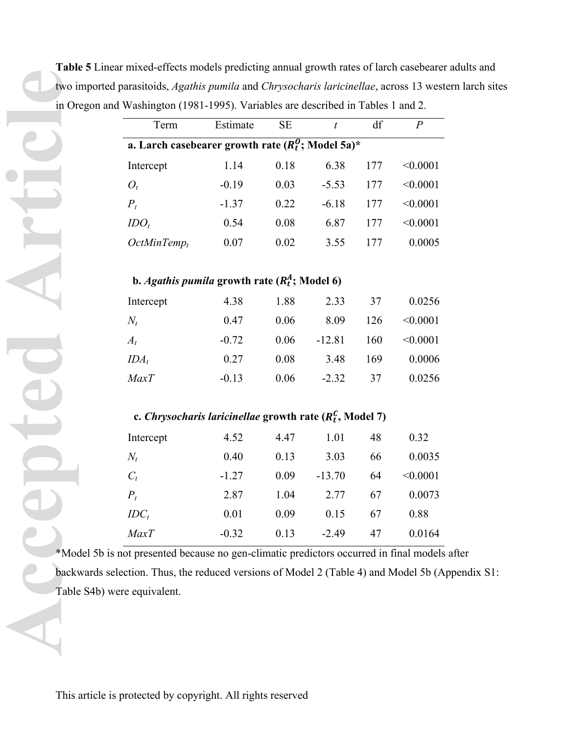**Table 5** Linear mixed-effects models predicting annual growth rates of larch casebearer adults and two imported parasitoids, *Agathis pumila* and *Chrysocharis laricinellae*, across 13 western larch sites in Oregon and Washington (1981-1995). Variables are described in Tables 1 and 2.

| Term                                                     | Estimate                                                    | <b>SE</b> | $\bar{t}$ | df  | $\overline{P}$ |  |  |  |
|----------------------------------------------------------|-------------------------------------------------------------|-----------|-----------|-----|----------------|--|--|--|
| a. Larch casebearer growth rate $(R_t^0;$ Model 5a)*     |                                                             |           |           |     |                |  |  |  |
| Intercept                                                | 1.14                                                        | 0.18      | 6.38      | 177 | < 0.0001       |  |  |  |
| $O_t$                                                    | $-0.19$                                                     | 0.03      | $-5.53$   | 177 | < 0.0001       |  |  |  |
| $P_t$                                                    | $-1.37$                                                     | 0.22      | $-6.18$   | 177 | < 0.0001       |  |  |  |
| $IDO_t$                                                  | 0.54                                                        | 0.08      | 6.87      | 177 | < 0.0001       |  |  |  |
| $OctMinTemp_t$                                           | 0.07                                                        | 0.02      | 3.55      | 177 | 0.0005         |  |  |  |
|                                                          |                                                             |           |           |     |                |  |  |  |
| b. Agathis pumila growth rate $(R_t^A; \text{Model } 6)$ |                                                             |           |           |     |                |  |  |  |
| Intercept                                                | 4.38                                                        | 1.88      | 2.33      | 37  | 0.0256         |  |  |  |
| $N_t$                                                    | 0.47                                                        | 0.06      | 8.09      | 126 | < 0.0001       |  |  |  |
| $A_t$                                                    | $-0.72$                                                     | 0.06      | $-12.81$  | 160 | < 0.0001       |  |  |  |
| $IDA_t$                                                  | 0.27                                                        | 0.08      | 3.48      | 169 | 0.0006         |  |  |  |
| MaxT                                                     | $-0.13$                                                     | 0.06      | $-2.32$   | 37  | 0.0256         |  |  |  |
|                                                          |                                                             |           |           |     |                |  |  |  |
|                                                          | c. Chrysocharis laricinellae growth rate $(R_t^C,$ Model 7) |           |           |     |                |  |  |  |
| Intercept                                                | 4.52                                                        | 4.47      | 1.01      | 48  | 0.32           |  |  |  |
| $N_t$                                                    | 0.40                                                        | 0.13      | 3.03      | 66  | 0.0035         |  |  |  |
| $C_t$                                                    | $-1.27$                                                     | 0.09      | $-13.70$  | 64  | < 0.0001       |  |  |  |
| $P_t$                                                    | 2.87                                                        | 1.04      | 2.77      | 67  | 0.0073         |  |  |  |
| $IDC_t$                                                  | 0.01                                                        | 0.09      | 0.15      | 67  | 0.88           |  |  |  |
| MaxT                                                     | $-0.32$                                                     | 0.13      | $-2.49$   | 47  | 0.0164         |  |  |  |

\*Model 5b is not presented because no gen-climatic predictors occurred in final models after backwards selection. Thus, the reduced versions of Model 2 (Table 4) and Model 5b (Appendix S1: Table S4b) were equivalent.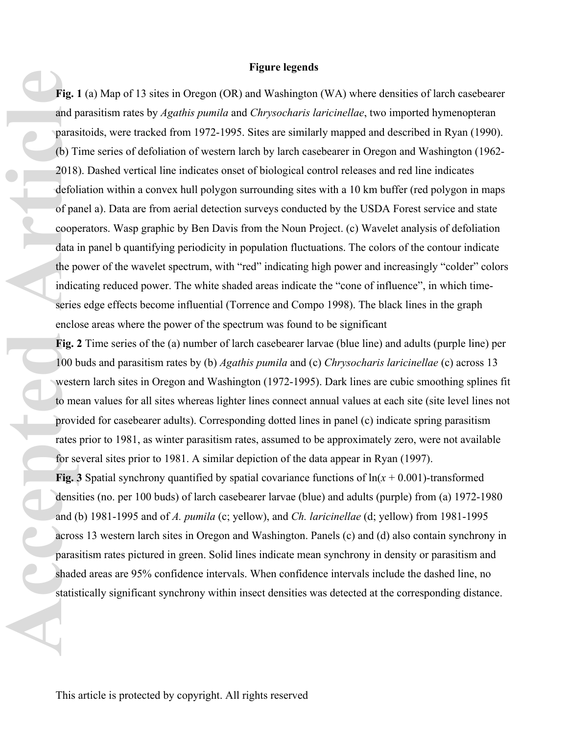# **Figure legends**

**Fig. 1** (a) Map of 13 sites in Oregon (OR) and Washington (WA) where densities of larch casebearer and parasitism rates by *Agathis pumila* and *Chrysocharis laricinellae*, two imported hymenopteran parasitoids, were tracked from 1972-1995. Sites are similarly mapped and described in Ryan (1990). (b) Time series of defoliation of western larch by larch casebearer in Oregon and Washington (1962- 2018). Dashed vertical line indicates onset of biological control releases and red line indicates defoliation within a convex hull polygon surrounding sites with a 10 km buffer (red polygon in maps of panel a). Data are from aerial detection surveys conducted by the USDA Forest service and state cooperators. Wasp graphic by Ben Davis from the Noun Project. (c) Wavelet analysis of defoliation data in panel b quantifying periodicity in population fluctuations. The colors of the contour indicate the power of the wavelet spectrum, with "red" indicating high power and increasingly "colder" colors indicating reduced power. The white shaded areas indicate the "cone of influence", in which timeseries edge effects become influential (Torrence and Compo 1998). The black lines in the graph enclose areas where the power of the spectrum was found to be significant

**Fig. 2** Time series of the (a) number of larch casebearer larvae (blue line) and adults (purple line) per 100 buds and parasitism rates by (b) *Agathis pumila* and (c) *Chrysocharis laricinellae* (c) across 13 western larch sites in Oregon and Washington (1972-1995). Dark lines are cubic smoothing splines fit to mean values for all sites whereas lighter lines connect annual values at each site (site level lines not provided for casebearer adults). Corresponding dotted lines in panel (c) indicate spring parasitism rates prior to 1981, as winter parasitism rates, assumed to be approximately zero, were not available for several sites prior to 1981. A similar depiction of the data appear in Ryan (1997). **Fig. 3** Spatial synchrony quantified by spatial covariance functions of  $ln(x + 0.001)$ -transformed densities (no. per 100 buds) of larch casebearer larvae (blue) and adults (purple) from (a) 1972-1980 and (b) 1981-1995 and of *A. pumila* (c; yellow), and *Ch. laricinellae* (d; yellow) from 1981-1995 across 13 western larch sites in Oregon and Washington. Panels (c) and (d) also contain synchrony in parasitism rates pictured in green. Solid lines indicate mean synchrony in density or parasitism and shaded areas are 95% confidence intervals. When confidence intervals include the dashed line, no statistically significant synchrony within insect densities was detected at the corresponding distance. Fig. 1<br>
and p<br>
paras<br>
(b) T<br>
2018<br>
defol<br>
of pa<br>
defol<br>
of pa<br>
coope<br>
data i<br>
the p<br>
indic:<br>
series<br>
enclo<br>
Fig. 2<br>
100 b<br>
wests<br>
to me<br>
provi<br>
rates<br>
for series<br>
for series<br>
for series<br>
for series<br>
for series<br>
for series<br>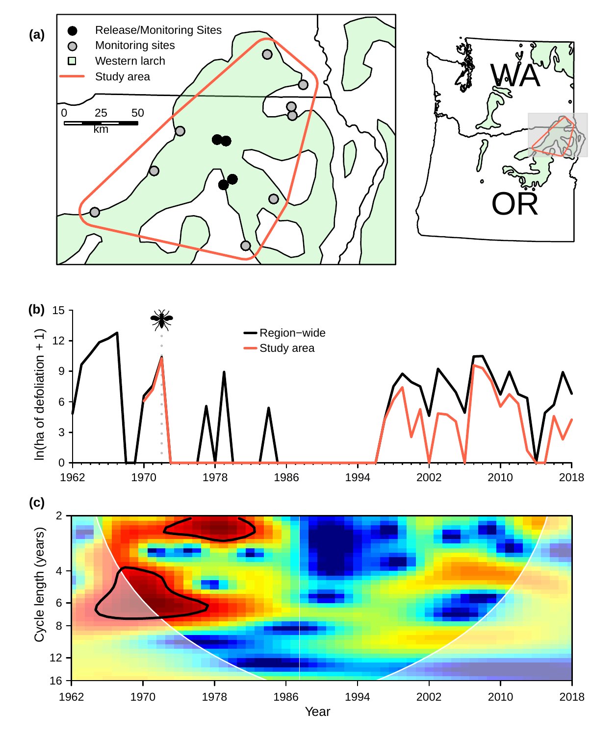







**(a)**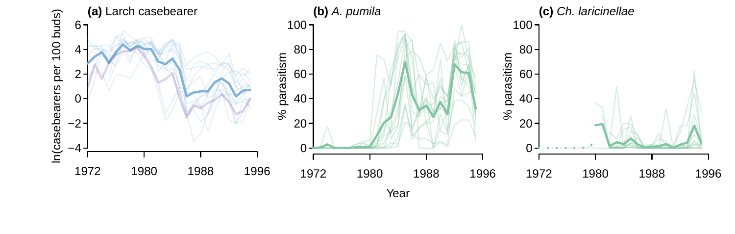